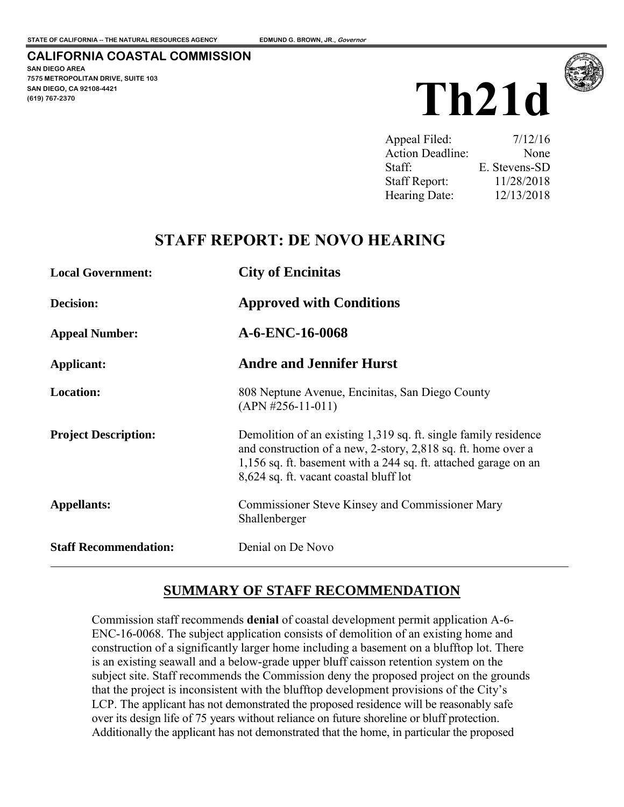#### **CALIFORNIA COASTAL COMMISSION**

**SAN DIEGO AREA 7575 METROPOLITAN DRIVE, SUITE 103 SAN DIEGO, CA 92108-4421 (619) 767-2370**





| Appeal Filed:        | 7/12/16       |
|----------------------|---------------|
| Action Deadline:     | None          |
| Staff:               | E. Stevens-SD |
| <b>Staff Report:</b> | 11/28/2018    |
| Hearing Date:        | 12/13/2018    |

## **STAFF REPORT: DE NOVO HEARING**

| <b>Local Government:</b>     | <b>City of Encinitis</b>                                                                                                                                                                                                                      |  |  |  |
|------------------------------|-----------------------------------------------------------------------------------------------------------------------------------------------------------------------------------------------------------------------------------------------|--|--|--|
| Decision:                    | <b>Approved with Conditions</b>                                                                                                                                                                                                               |  |  |  |
| <b>Appeal Number:</b>        | A-6-ENC-16-0068                                                                                                                                                                                                                               |  |  |  |
| Applicant:                   | <b>Andre and Jennifer Hurst</b>                                                                                                                                                                                                               |  |  |  |
| <b>Location:</b>             | 808 Neptune Avenue, Encinitas, San Diego County<br>$(APN #256-11-011)$                                                                                                                                                                        |  |  |  |
| <b>Project Description:</b>  | Demolition of an existing 1,319 sq. ft. single family residence<br>and construction of a new, 2-story, 2,818 sq. ft. home over a<br>1,156 sq. ft. basement with a 244 sq. ft. attached garage on an<br>8,624 sq. ft. vacant coastal bluff lot |  |  |  |
| <b>Appellants:</b>           | <b>Commissioner Steve Kinsey and Commissioner Mary</b><br>Shallenberger                                                                                                                                                                       |  |  |  |
| <b>Staff Recommendation:</b> | Denial on De Novo                                                                                                                                                                                                                             |  |  |  |

## **SUMMARY OF STAFF RECOMMENDATION**

Commission staff recommends **denial** of coastal development permit application A-6- ENC-16-0068. The subject application consists of demolition of an existing home and construction of a significantly larger home including a basement on a blufftop lot. There is an existing seawall and a below-grade upper bluff caisson retention system on the subject site. Staff recommends the Commission deny the proposed project on the grounds that the project is inconsistent with the blufftop development provisions of the City's LCP. The applicant has not demonstrated the proposed residence will be reasonably safe over its design life of 75 years without reliance on future shoreline or bluff protection. Additionally the applicant has not demonstrated that the home, in particular the proposed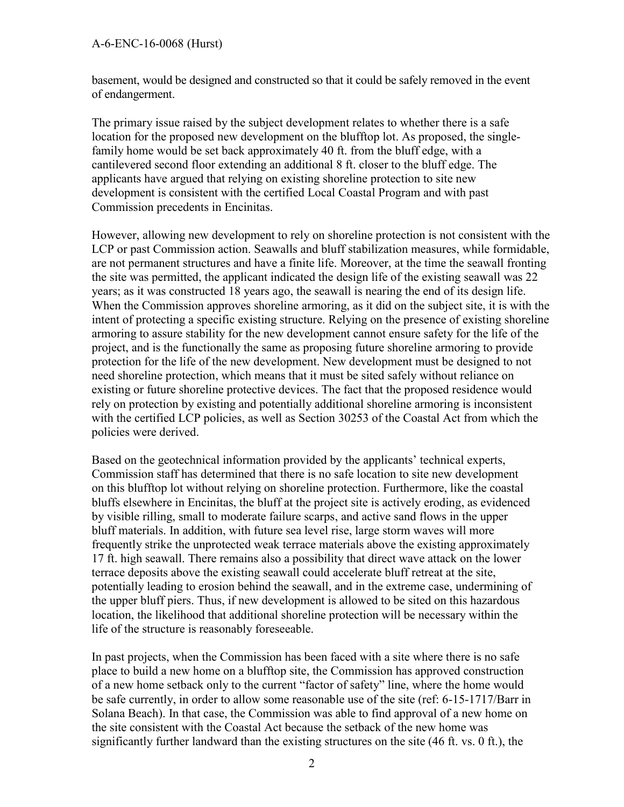basement, would be designed and constructed so that it could be safely removed in the event of endangerment.

The primary issue raised by the subject development relates to whether there is a safe location for the proposed new development on the blufftop lot. As proposed, the singlefamily home would be set back approximately 40 ft. from the bluff edge, with a cantilevered second floor extending an additional 8 ft. closer to the bluff edge. The applicants have argued that relying on existing shoreline protection to site new development is consistent with the certified Local Coastal Program and with past Commission precedents in Encinitas.

However, allowing new development to rely on shoreline protection is not consistent with the LCP or past Commission action. Seawalls and bluff stabilization measures, while formidable, are not permanent structures and have a finite life. Moreover, at the time the seawall fronting the site was permitted, the applicant indicated the design life of the existing seawall was 22 years; as it was constructed 18 years ago, the seawall is nearing the end of its design life. When the Commission approves shoreline armoring, as it did on the subject site, it is with the intent of protecting a specific existing structure. Relying on the presence of existing shoreline armoring to assure stability for the new development cannot ensure safety for the life of the project, and is the functionally the same as proposing future shoreline armoring to provide protection for the life of the new development. New development must be designed to not need shoreline protection, which means that it must be sited safely without reliance on existing or future shoreline protective devices. The fact that the proposed residence would rely on protection by existing and potentially additional shoreline armoring is inconsistent with the certified LCP policies, as well as Section 30253 of the Coastal Act from which the policies were derived.

Based on the geotechnical information provided by the applicants' technical experts, Commission staff has determined that there is no safe location to site new development on this blufftop lot without relying on shoreline protection. Furthermore, like the coastal bluffs elsewhere in Encinitas, the bluff at the project site is actively eroding, as evidenced by visible rilling, small to moderate failure scarps, and active sand flows in the upper bluff materials. In addition, with future sea level rise, large storm waves will more frequently strike the unprotected weak terrace materials above the existing approximately 17 ft. high seawall. There remains also a possibility that direct wave attack on the lower terrace deposits above the existing seawall could accelerate bluff retreat at the site, potentially leading to erosion behind the seawall, and in the extreme case, undermining of the upper bluff piers. Thus, if new development is allowed to be sited on this hazardous location, the likelihood that additional shoreline protection will be necessary within the life of the structure is reasonably foreseeable.

In past projects, when the Commission has been faced with a site where there is no safe place to build a new home on a blufftop site, the Commission has approved construction of a new home setback only to the current "factor of safety" line, where the home would be safe currently, in order to allow some reasonable use of the site (ref: 6-15-1717/Barr in Solana Beach). In that case, the Commission was able to find approval of a new home on the site consistent with the Coastal Act because the setback of the new home was significantly further landward than the existing structures on the site (46 ft. vs. 0 ft.), the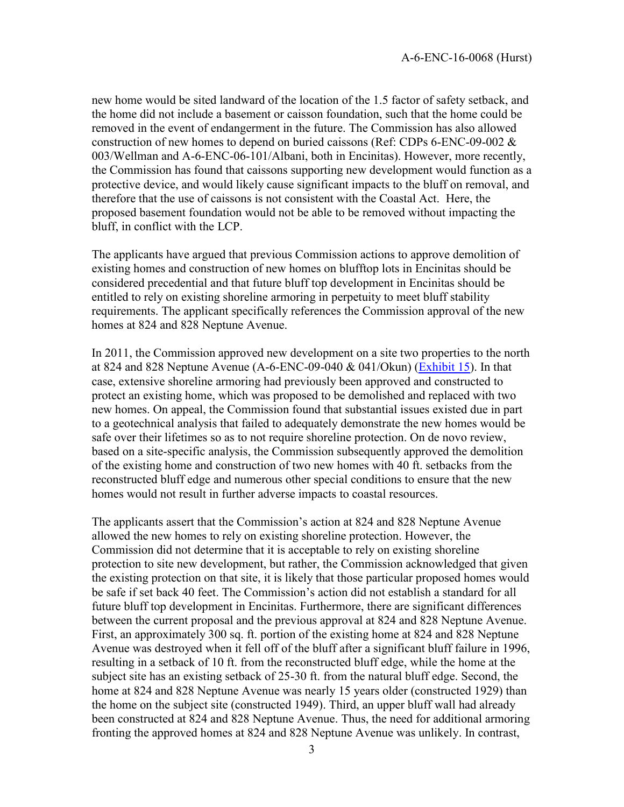new home would be sited landward of the location of the 1.5 factor of safety setback, and the home did not include a basement or caisson foundation, such that the home could be removed in the event of endangerment in the future. The Commission has also allowed construction of new homes to depend on buried caissons (Ref: CDPs 6-ENC-09-002 & 003/Wellman and A-6-ENC-06-101/Albani, both in Encinitas). However, more recently, the Commission has found that caissons supporting new development would function as a protective device, and would likely cause significant impacts to the bluff on removal, and therefore that the use of caissons is not consistent with the Coastal Act. Here, the proposed basement foundation would not be able to be removed without impacting the bluff, in conflict with the LCP.

The applicants have argued that previous Commission actions to approve demolition of existing homes and construction of new homes on blufftop lots in Encinitas should be considered precedential and that future bluff top development in Encinitas should be entitled to rely on existing shoreline armoring in perpetuity to meet bluff stability requirements. The applicant specifically references the Commission approval of the new homes at 824 and 828 Neptune Avenue.

In 2011, the Commission approved new development on a site two properties to the north at 824 and 828 Neptune Avenue (A-6-ENC-09-040  $&$  041/Okun) [\(Exhibit 15\)](https://documents.coastal.ca.gov/reports/2018/12/w21d/w21d-12-2018-exhibits.pdf). In that case, extensive shoreline armoring had previously been approved and constructed to protect an existing home, which was proposed to be demolished and replaced with two new homes. On appeal, the Commission found that substantial issues existed due in part to a geotechnical analysis that failed to adequately demonstrate the new homes would be safe over their lifetimes so as to not require shoreline protection. On de novo review, based on a site-specific analysis, the Commission subsequently approved the demolition of the existing home and construction of two new homes with 40 ft. setbacks from the reconstructed bluff edge and numerous other special conditions to ensure that the new homes would not result in further adverse impacts to coastal resources.

The applicants assert that the Commission's action at 824 and 828 Neptune Avenue allowed the new homes to rely on existing shoreline protection. However, the Commission did not determine that it is acceptable to rely on existing shoreline protection to site new development, but rather, the Commission acknowledged that given the existing protection on that site, it is likely that those particular proposed homes would be safe if set back 40 feet. The Commission's action did not establish a standard for all future bluff top development in Encinitas. Furthermore, there are significant differences between the current proposal and the previous approval at 824 and 828 Neptune Avenue. First, an approximately 300 sq. ft. portion of the existing home at 824 and 828 Neptune Avenue was destroyed when it fell off of the bluff after a significant bluff failure in 1996, resulting in a setback of 10 ft. from the reconstructed bluff edge, while the home at the subject site has an existing setback of 25-30 ft. from the natural bluff edge. Second, the home at 824 and 828 Neptune Avenue was nearly 15 years older (constructed 1929) than the home on the subject site (constructed 1949). Third, an upper bluff wall had already been constructed at 824 and 828 Neptune Avenue. Thus, the need for additional armoring fronting the approved homes at 824 and 828 Neptune Avenue was unlikely. In contrast,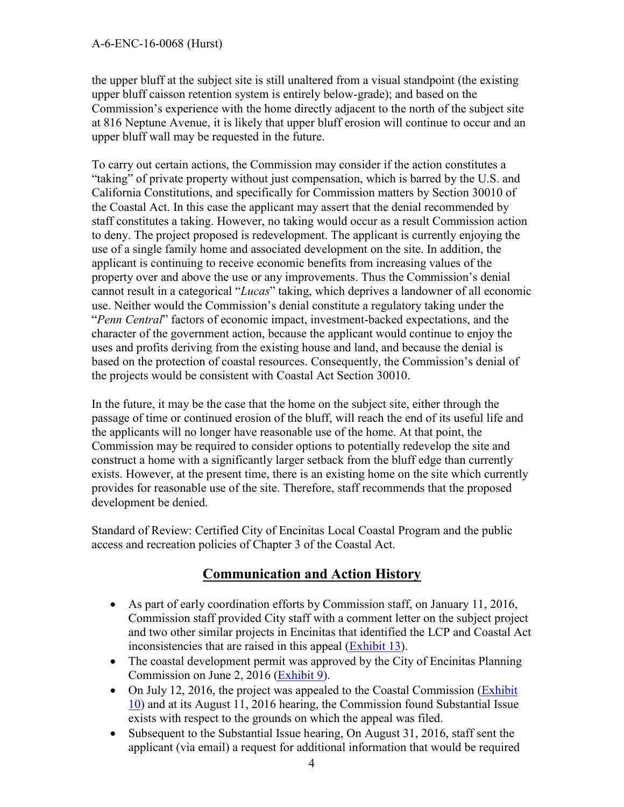the upper bluff at the subject site is still unaltered from a visual standpoint (the existing upper bluff caisson retention system is entirely below-grade); and based on the Commission's experience with the home directly adjacent to the north of the subject site at 816 Neptune Avenue, it is likely that upper bluff erosion will continue to occur and an upper bluff wall may be requested in the future.

To carry out certain actions, the Commission may consider if the action constitutes a "taking" of private property without just compensation, which is barred by the U.S. and California Constitutions, and specifically for Commission matters by Section 30010 of the Coastal Act. In this case the applicant may assert that the denial recommended by staff constitutes a taking. However, no taking would occur as a result Commission action to deny. The project proposed is redevelopment. The applicant is currently enjoying the use of a single family home and associated development on the site. In addition, the applicant is continuing to receive economic benefits from increasing values of the property over and above the use or any improvements. Thus the Commission's denial cannot result in a categorical "*Lucas*" taking, which deprives a landowner of all economic use. Neither would the Commission's denial constitute a regulatory taking under the "*Penn Central*" factors of economic impact, investment-backed expectations, and the character of the government action, because the applicant would continue to enjoy the uses and profits deriving from the existing house and land, and because the denial is based on the protection of coastal resources. Consequently, the Commission's denial of the projects would be consistent with Coastal Act Section 30010.

In the future, it may be the case that the home on the subject site, either through the passage of time or continued erosion of the bluff, will reach the end of its useful life and the applicants will no longer have reasonable use of the home. At that point, the Commission may be required to consider options to potentially redevelop the site and construct a home with a significantly larger setback from the bluff edge than currently exists. However, at the present time, there is an existing home on the site which currently provides for reasonable use of the site. Therefore, staff recommends that the proposed development be denied.

Standard of Review: Certified City of Encinitas Local Coastal Program and the public access and recreation policies of Chapter 3 of the Coastal Act.

## **Communication and Action History**

- As part of early coordination efforts by Commission staff, on January 11, 2016, Commission staff provided City staff with a comment letter on the subject project and two other similar projects in Encinitas that identified the LCP and Coastal Act inconsistencies that are raised in this appeal [\(Exhibit 13\)](https://documents.coastal.ca.gov/reports/2018/12/w21d/w21d-12-2018-exhibits.pdf).
- The coastal development permit was approved by the City of Encinitas Planning Commission on June 2, 2016 [\(Exhibit 9\)](https://documents.coastal.ca.gov/reports/2018/12/w21d/w21d-12-2018-exhibits.pdf).
- On July 12, 2016, the project was appealed to the Coastal Commission (Exhibit) [10\)](https://documents.coastal.ca.gov/reports/2018/12/w21d/w21d-12-2018-exhibits.pdf) and at its August 11, 2016 hearing, the Commission found Substantial Issue exists with respect to the grounds on which the appeal was filed.
- Subsequent to the Substantial Issue hearing, On August 31, 2016, staff sent the applicant (via email) a request for additional information that would be required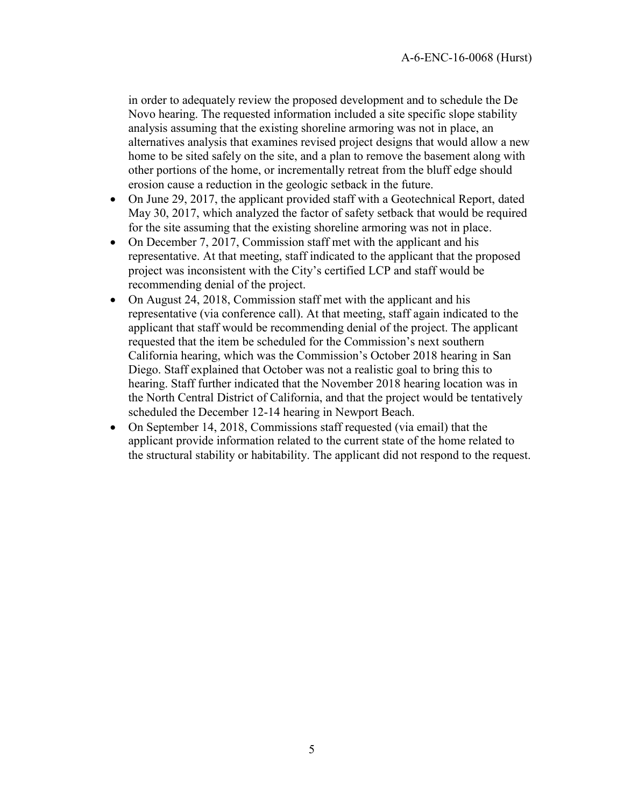in order to adequately review the proposed development and to schedule the De Novo hearing. The requested information included a site specific slope stability analysis assuming that the existing shoreline armoring was not in place, an alternatives analysis that examines revised project designs that would allow a new home to be sited safely on the site, and a plan to remove the basement along with other portions of the home, or incrementally retreat from the bluff edge should erosion cause a reduction in the geologic setback in the future.

- On June 29, 2017, the applicant provided staff with a Geotechnical Report, dated May 30, 2017, which analyzed the factor of safety setback that would be required for the site assuming that the existing shoreline armoring was not in place.
- On December 7, 2017, Commission staff met with the applicant and his representative. At that meeting, staff indicated to the applicant that the proposed project was inconsistent with the City's certified LCP and staff would be recommending denial of the project.
- On August 24, 2018, Commission staff met with the applicant and his representative (via conference call). At that meeting, staff again indicated to the applicant that staff would be recommending denial of the project. The applicant requested that the item be scheduled for the Commission's next southern California hearing, which was the Commission's October 2018 hearing in San Diego. Staff explained that October was not a realistic goal to bring this to hearing. Staff further indicated that the November 2018 hearing location was in the North Central District of California, and that the project would be tentatively scheduled the December 12-14 hearing in Newport Beach.
- On September 14, 2018, Commissions staff requested (via email) that the applicant provide information related to the current state of the home related to the structural stability or habitability. The applicant did not respond to the request.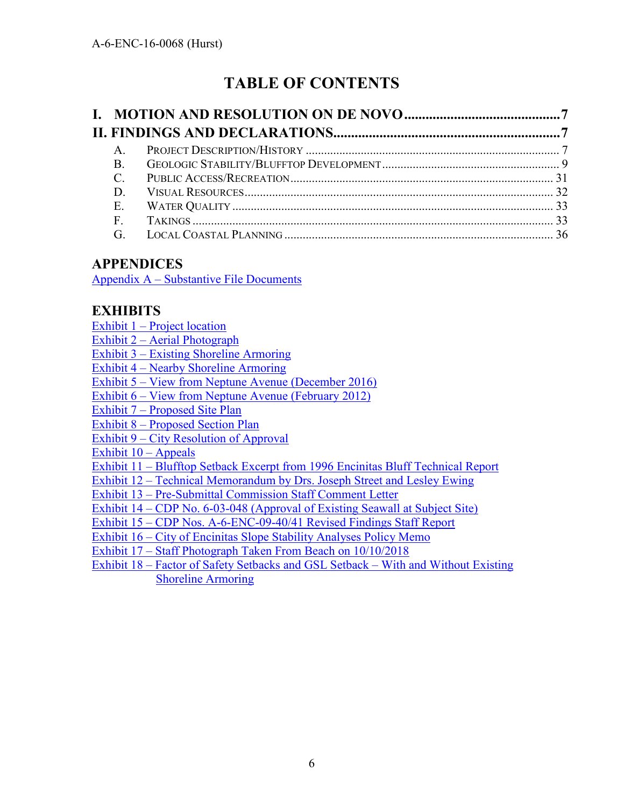# **TABLE OF CONTENTS**

| $\mathsf{A}$  |  |
|---------------|--|
| B.            |  |
| $\mathcal{C}$ |  |
| D.            |  |
| Ε.            |  |
| $F_{\perp}$   |  |
| G             |  |

## **APPENDICES**

Appendix A – [Substantive File Documents](#page-36-0) 

## **EXHIBITS**

| <u>Exhibit 1 – Project location</u>                                                |
|------------------------------------------------------------------------------------|
| Exhibit 2 – Aerial Photograph                                                      |
| <b>Exhibit 3 – Existing Shoreline Armoring</b>                                     |
| <b>Exhibit 4 – Nearby Shoreline Armoring</b>                                       |
| Exhibit 5 – View from Neptune Avenue (December 2016)                               |
| Exhibit 6 – View from Neptune Avenue (February 2012)                               |
| Exhibit 7 – Proposed Site Plan                                                     |
| <b>Exhibit 8 – Proposed Section Plan</b>                                           |
| <b>Exhibit 9 – City Resolution of Approval</b>                                     |
| Exhibit $10 -$ Appeals                                                             |
| Exhibit 11 – Blufftop Setback Excerpt from 1996 Encinitas Bluff Technical Report   |
| <b>Exhibit 12 – Technical Memorandum by Drs. Joseph Street and Lesley Ewing</b>    |
| <b>Exhibit 13 – Pre-Submittal Commission Staff Comment Letter</b>                  |
| Exhibit 14 – CDP No. 6-03-048 (Approval of Existing Seawall at Subject Site)       |
| Exhibit 15 – CDP Nos. A-6-ENC-09-40/41 Revised Findings Staff Report               |
| Exhibit 16 – City of Encinitas Slope Stability Analyses Policy Memo                |
| Exhibit 17 – Staff Photograph Taken From Beach on 10/10/2018                       |
| Exhibit 18 – Factor of Safety Setbacks and GSL Setback – With and Without Existing |
| <b>Shoreline Armoring</b>                                                          |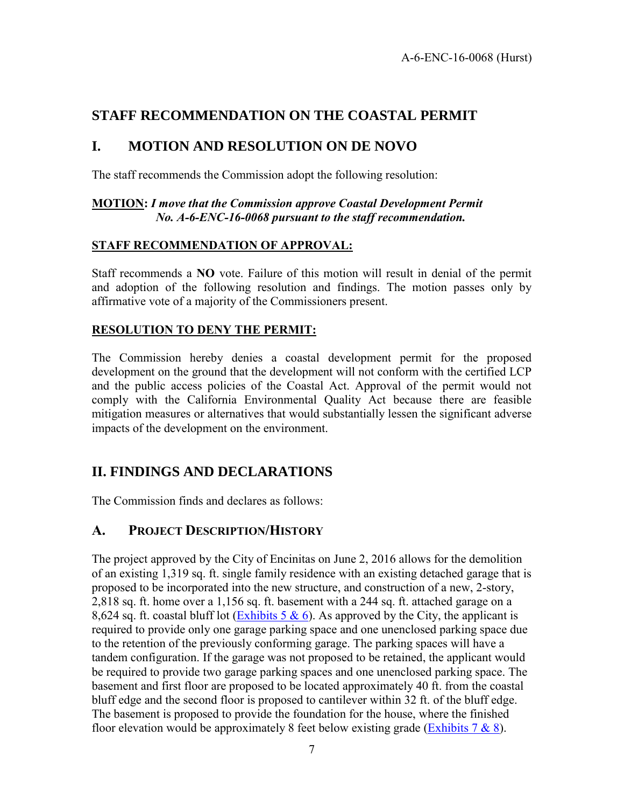## **STAFF RECOMMENDATION ON THE COASTAL PERMIT**

### <span id="page-6-0"></span>**I. MOTION AND RESOLUTION ON DE NOVO**

The staff recommends the Commission adopt the following resolution:

#### **MOTION:** *I move that the Commission approve Coastal Development Permit No. A-6-ENC-16-0068 pursuant to the staff recommendation.*

### **STAFF RECOMMENDATION OF APPROVAL:**

Staff recommends a **NO** vote. Failure of this motion will result in denial of the permit and adoption of the following resolution and findings. The motion passes only by affirmative vote of a majority of the Commissioners present.

#### **RESOLUTION TO DENY THE PERMIT:**

The Commission hereby denies a coastal development permit for the proposed development on the ground that the development will not conform with the certified LCP and the public access policies of the Coastal Act. Approval of the permit would not comply with the California Environmental Quality Act because there are feasible mitigation measures or alternatives that would substantially lessen the significant adverse impacts of the development on the environment.

## <span id="page-6-1"></span>**II. FINDINGS AND DECLARATIONS**

The Commission finds and declares as follows:

### <span id="page-6-2"></span>**A. PROJECT DESCRIPTION/HISTORY**

The project approved by the City of Encinitas on June 2, 2016 allows for the demolition of an existing 1,319 sq. ft. single family residence with an existing detached garage that is proposed to be incorporated into the new structure, and construction of a new, 2-story, 2,818 sq. ft. home over a 1,156 sq. ft. basement with a 244 sq. ft. attached garage on a 8,624 sq. ft. coastal bluff lot (Exhibits 5  $\&$  6). As approved by the City, the applicant is required to provide only one garage parking space and one unenclosed parking space due to the retention of the previously conforming garage. The parking spaces will have a tandem configuration. If the garage was not proposed to be retained, the applicant would be required to provide two garage parking spaces and one unenclosed parking space. The basement and first floor are proposed to be located approximately 40 ft. from the coastal bluff edge and the second floor is proposed to cantilever within 32 ft. of the bluff edge. The basement is proposed to provide the foundation for the house, where the finished floor elevation would be approximately 8 feet below existing grade (Exhibits  $7 \& 8$ ).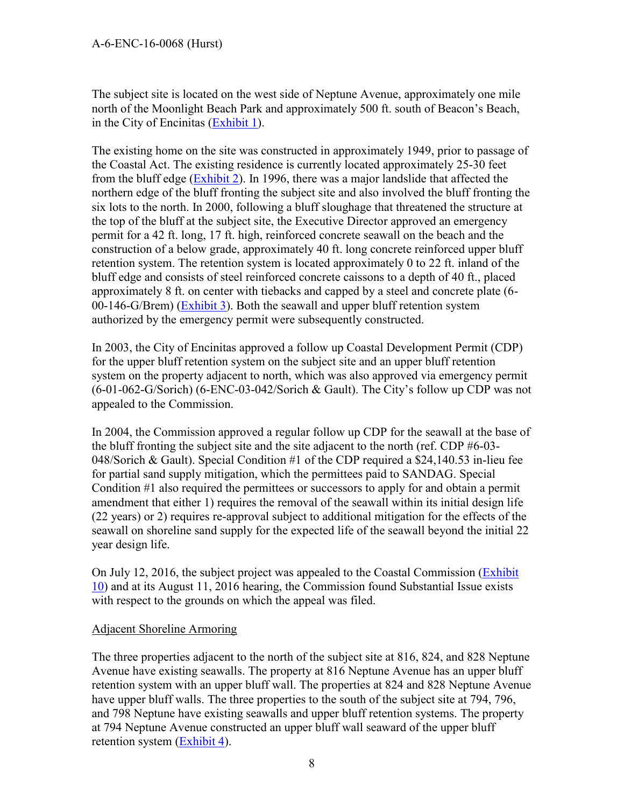The subject site is located on the west side of Neptune Avenue, approximately one mile north of the Moonlight Beach Park and approximately 500 ft. south of Beacon's Beach, in the City of Encinitas [\(Exhibit 1\)](https://documents.coastal.ca.gov/reports/2018/12/w21d/w21d-12-2018-exhibits.pdf).

The existing home on the site was constructed in approximately 1949, prior to passage of the Coastal Act. The existing residence is currently located approximately 25-30 feet from the bluff edge [\(Exhibit 2\)](https://documents.coastal.ca.gov/reports/2018/12/w21d/w21d-12-2018-exhibits.pdf). In 1996, there was a major landslide that affected the northern edge of the bluff fronting the subject site and also involved the bluff fronting the six lots to the north. In 2000, following a bluff sloughage that threatened the structure at the top of the bluff at the subject site, the Executive Director approved an emergency permit for a 42 ft. long, 17 ft. high, reinforced concrete seawall on the beach and the construction of a below grade, approximately 40 ft. long concrete reinforced upper bluff retention system. The retention system is located approximately 0 to 22 ft. inland of the bluff edge and consists of steel reinforced concrete caissons to a depth of 40 ft., placed approximately 8 ft. on center with tiebacks and capped by a steel and concrete plate (6- 00-146-G/Brem) [\(Exhibit 3\)](https://documents.coastal.ca.gov/reports/2018/12/w21d/w21d-12-2018-exhibits.pdf). Both the seawall and upper bluff retention system authorized by the emergency permit were subsequently constructed.

In 2003, the City of Encinitas approved a follow up Coastal Development Permit (CDP) for the upper bluff retention system on the subject site and an upper bluff retention system on the property adjacent to north, which was also approved via emergency permit (6-01-062-G/Sorich) (6-ENC-03-042/Sorich & Gault). The City's follow up CDP was not appealed to the Commission.

In 2004, the Commission approved a regular follow up CDP for the seawall at the base of the bluff fronting the subject site and the site adjacent to the north (ref. CDP #6-03- 048/Sorich & Gault). Special Condition #1 of the CDP required a \$24,140.53 in-lieu fee for partial sand supply mitigation, which the permittees paid to SANDAG. Special Condition #1 also required the permittees or successors to apply for and obtain a permit amendment that either 1) requires the removal of the seawall within its initial design life (22 years) or 2) requires re-approval subject to additional mitigation for the effects of the seawall on shoreline sand supply for the expected life of the seawall beyond the initial 22 year design life.

On July 12, 2016, the subject project was appealed to the Coastal Commission [\(Exhibit](https://documents.coastal.ca.gov/reports/2018/12/w21d/w21d-12-2018-exhibits.pdf)  [10\)](https://documents.coastal.ca.gov/reports/2018/12/w21d/w21d-12-2018-exhibits.pdf) and at its August 11, 2016 hearing, the Commission found Substantial Issue exists with respect to the grounds on which the appeal was filed.

#### Adjacent Shoreline Armoring

The three properties adjacent to the north of the subject site at 816, 824, and 828 Neptune Avenue have existing seawalls. The property at 816 Neptune Avenue has an upper bluff retention system with an upper bluff wall. The properties at 824 and 828 Neptune Avenue have upper bluff walls. The three properties to the south of the subject site at 794, 796, and 798 Neptune have existing seawalls and upper bluff retention systems. The property at 794 Neptune Avenue constructed an upper bluff wall seaward of the upper bluff retention system [\(Exhibit 4\)](https://documents.coastal.ca.gov/reports/2018/12/w21d/w21d-12-2018-exhibits.pdf).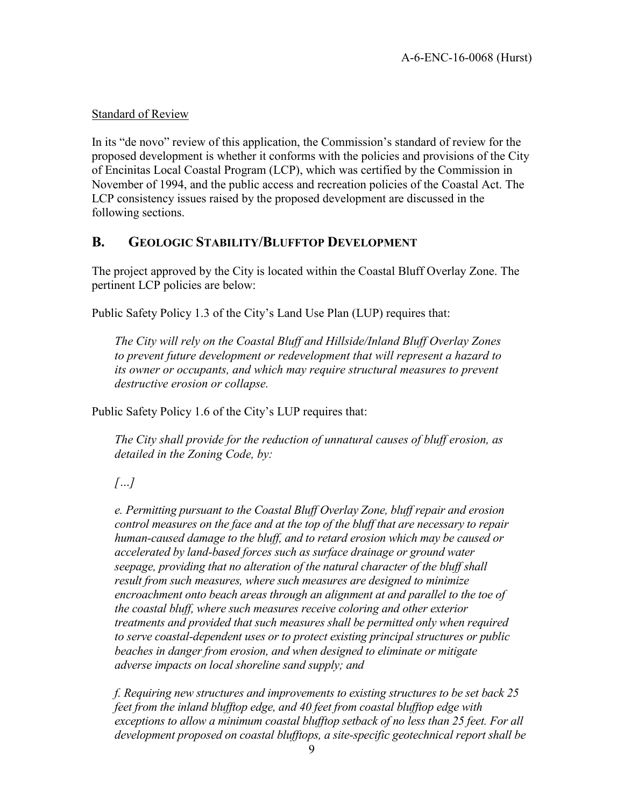#### Standard of Review

In its "de novo" review of this application, the Commission's standard of review for the proposed development is whether it conforms with the policies and provisions of the City of Encinitas Local Coastal Program (LCP), which was certified by the Commission in November of 1994, and the public access and recreation policies of the Coastal Act. The LCP consistency issues raised by the proposed development are discussed in the following sections.

### <span id="page-8-0"></span>**B. GEOLOGIC STABILITY/BLUFFTOP DEVELOPMENT**

The project approved by the City is located within the Coastal Bluff Overlay Zone. The pertinent LCP policies are below:

Public Safety Policy 1.3 of the City's Land Use Plan (LUP) requires that:

*The City will rely on the Coastal Bluff and Hillside/Inland Bluff Overlay Zones to prevent future development or redevelopment that will represent a hazard to its owner or occupants, and which may require structural measures to prevent destructive erosion or collapse.*

Public Safety Policy 1.6 of the City's LUP requires that:

*The City shall provide for the reduction of unnatural causes of bluff erosion, as detailed in the Zoning Code, by:* 

*[…]*

*e. Permitting pursuant to the Coastal Bluff Overlay Zone, bluff repair and erosion control measures on the face and at the top of the bluff that are necessary to repair human-caused damage to the bluff, and to retard erosion which may be caused or accelerated by land-based forces such as surface drainage or ground water seepage, providing that no alteration of the natural character of the bluff shall result from such measures, where such measures are designed to minimize encroachment onto beach areas through an alignment at and parallel to the toe of the coastal bluff, where such measures receive coloring and other exterior treatments and provided that such measures shall be permitted only when required to serve coastal-dependent uses or to protect existing principal structures or public beaches in danger from erosion, and when designed to eliminate or mitigate adverse impacts on local shoreline sand supply; and* 

*f. Requiring new structures and improvements to existing structures to be set back 25 feet from the inland blufftop edge, and 40 feet from coastal blufftop edge with exceptions to allow a minimum coastal blufftop setback of no less than 25 feet. For all development proposed on coastal blufftops, a site-specific geotechnical report shall be*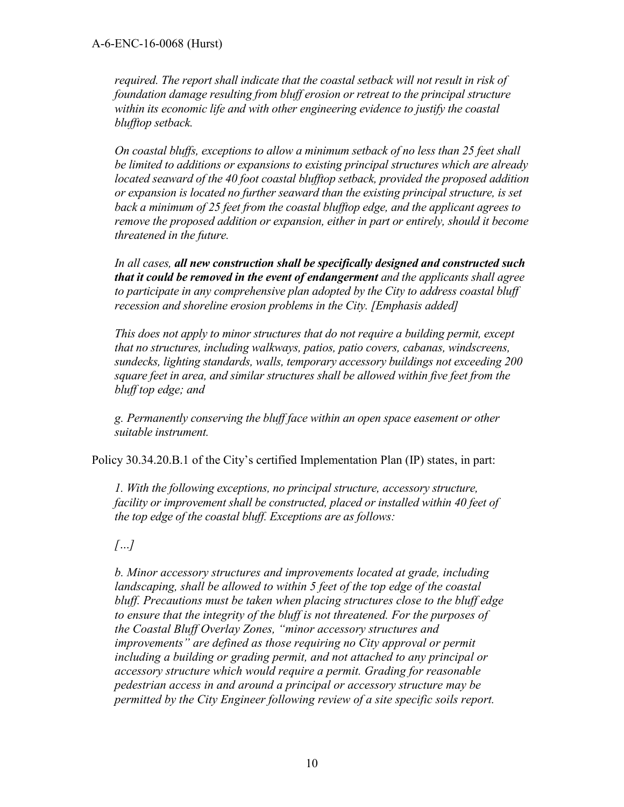*required. The report shall indicate that the coastal setback will not result in risk of foundation damage resulting from bluff erosion or retreat to the principal structure within its economic life and with other engineering evidence to justify the coastal blufftop setback.* 

*On coastal bluffs, exceptions to allow a minimum setback of no less than 25 feet shall be limited to additions or expansions to existing principal structures which are already located seaward of the 40 foot coastal blufftop setback, provided the proposed addition or expansion is located no further seaward than the existing principal structure, is set back a minimum of 25 feet from the coastal blufftop edge, and the applicant agrees to remove the proposed addition or expansion, either in part or entirely, should it become threatened in the future.* 

*In all cases, all new construction shall be specifically designed and constructed such that it could be removed in the event of endangerment and the applicants shall agree to participate in any comprehensive plan adopted by the City to address coastal bluff recession and shoreline erosion problems in the City. [Emphasis added]* 

*This does not apply to minor structures that do not require a building permit, except that no structures, including walkways, patios, patio covers, cabanas, windscreens, sundecks, lighting standards, walls, temporary accessory buildings not exceeding 200 square feet in area, and similar structures shall be allowed within five feet from the bluff top edge; and* 

*g. Permanently conserving the bluff face within an open space easement or other suitable instrument.* 

Policy 30.34.20.B.1 of the City's certified Implementation Plan (IP) states, in part:

*1. With the following exceptions, no principal structure, accessory structure, facility or improvement shall be constructed, placed or installed within 40 feet of the top edge of the coastal bluff. Exceptions are as follows:* 

*[…]*

*b. Minor accessory structures and improvements located at grade, including landscaping, shall be allowed to within 5 feet of the top edge of the coastal bluff. Precautions must be taken when placing structures close to the bluff edge to ensure that the integrity of the bluff is not threatened. For the purposes of the Coastal Bluff Overlay Zones, "minor accessory structures and improvements" are defined as those requiring no City approval or permit including a building or grading permit, and not attached to any principal or accessory structure which would require a permit. Grading for reasonable pedestrian access in and around a principal or accessory structure may be permitted by the City Engineer following review of a site specific soils report.*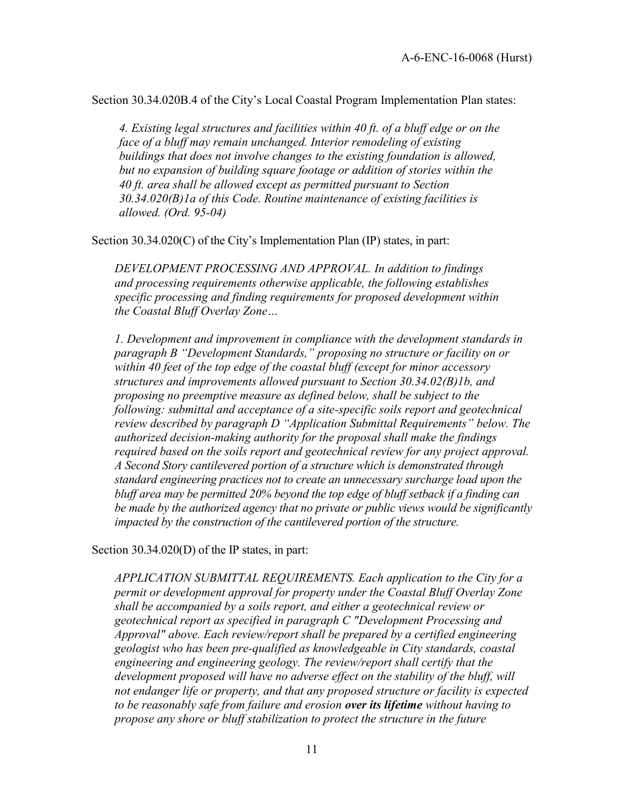Section 30.34.020B.4 of the City's Local Coastal Program Implementation Plan states:

*4. Existing legal structures and facilities within 40 ft. of a bluff edge or on the face of a bluff may remain unchanged. Interior remodeling of existing buildings that does not involve changes to the existing foundation is allowed, but no expansion of building square footage or addition of stories within the 40 ft. area shall be allowed except as permitted pursuant to Section 30.34.020(B)1a of this Code. Routine maintenance of existing facilities is allowed. (Ord. 95-04)* 

Section 30.34.020(C) of the City's Implementation Plan (IP) states, in part:

*DEVELOPMENT PROCESSING AND APPROVAL. In addition to findings and processing requirements otherwise applicable, the following establishes specific processing and finding requirements for proposed development within the Coastal Bluff Overlay Zone…*

*1. Development and improvement in compliance with the development standards in paragraph B "Development Standards," proposing no structure or facility on or within 40 feet of the top edge of the coastal bluff (except for minor accessory structures and improvements allowed pursuant to Section 30.34.02(B)1b, and proposing no preemptive measure as defined below, shall be subject to the following: submittal and acceptance of a site-specific soils report and geotechnical review described by paragraph D "Application Submittal Requirements" below. The authorized decision-making authority for the proposal shall make the findings required based on the soils report and geotechnical review for any project approval. A Second Story cantilevered portion of a structure which is demonstrated through standard engineering practices not to create an unnecessary surcharge load upon the bluff area may be permitted 20% beyond the top edge of bluff setback if a finding can be made by the authorized agency that no private or public views would be significantly impacted by the construction of the cantilevered portion of the structure.* 

Section 30.34.020(D) of the IP states, in part:

*APPLICATION SUBMITTAL REQUIREMENTS. Each application to the City for a permit or development approval for property under the Coastal Bluff Overlay Zone shall be accompanied by a soils report, and either a geotechnical review or geotechnical report as specified in paragraph C "Development Processing and Approval" above. Each review/report shall be prepared by a certified engineering geologist who has been pre-qualified as knowledgeable in City standards, coastal engineering and engineering geology. The review/report shall certify that the development proposed will have no adverse effect on the stability of the bluff, will not endanger life or property, and that any proposed structure or facility is expected to be reasonably safe from failure and erosion over its lifetime without having to propose any shore or bluff stabilization to protect the structure in the future*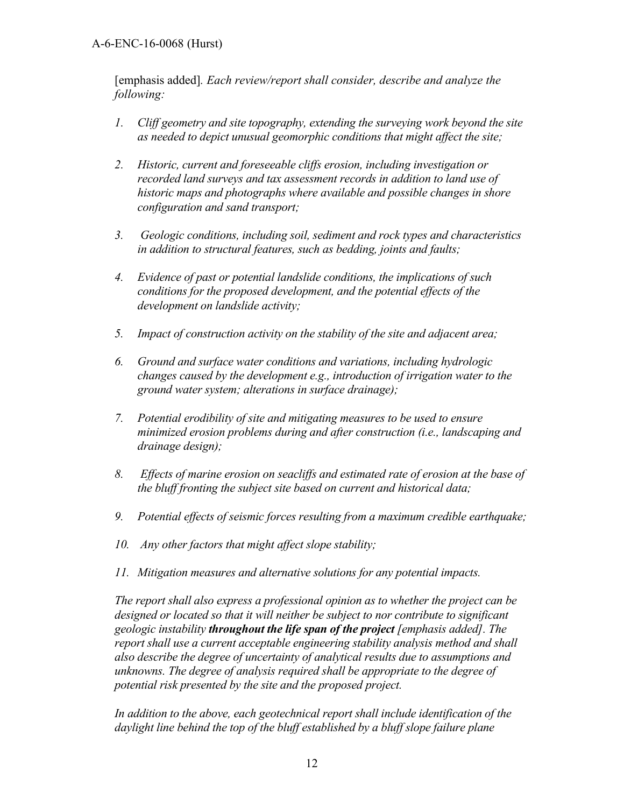[emphasis added]*. Each review/report shall consider, describe and analyze the following:* 

- *1. Cliff geometry and site topography, extending the surveying work beyond the site as needed to depict unusual geomorphic conditions that might affect the site;*
- *2. Historic, current and foreseeable cliffs erosion, including investigation or recorded land surveys and tax assessment records in addition to land use of historic maps and photographs where available and possible changes in shore configuration and sand transport;*
- *3. Geologic conditions, including soil, sediment and rock types and characteristics in addition to structural features, such as bedding, joints and faults;*
- *4. Evidence of past or potential landslide conditions, the implications of such conditions for the proposed development, and the potential effects of the development on landslide activity;*
- *5. Impact of construction activity on the stability of the site and adjacent area;*
- *6. Ground and surface water conditions and variations, including hydrologic changes caused by the development e.g., introduction of irrigation water to the ground water system; alterations in surface drainage);*
- *7. Potential erodibility of site and mitigating measures to be used to ensure minimized erosion problems during and after construction (i.e., landscaping and drainage design);*
- *8. Effects of marine erosion on seacliffs and estimated rate of erosion at the base of the bluff fronting the subject site based on current and historical data;*
- *9. Potential effects of seismic forces resulting from a maximum credible earthquake;*
- *10. Any other factors that might affect slope stability;*
- *11. Mitigation measures and alternative solutions for any potential impacts.*

*The report shall also express a professional opinion as to whether the project can be designed or located so that it will neither be subject to nor contribute to significant geologic instability throughout the life span of the project [emphasis added]. The report shall use a current acceptable engineering stability analysis method and shall also describe the degree of uncertainty of analytical results due to assumptions and unknowns. The degree of analysis required shall be appropriate to the degree of potential risk presented by the site and the proposed project.* 

*In addition to the above, each geotechnical report shall include identification of the daylight line behind the top of the bluff established by a bluff slope failure plane*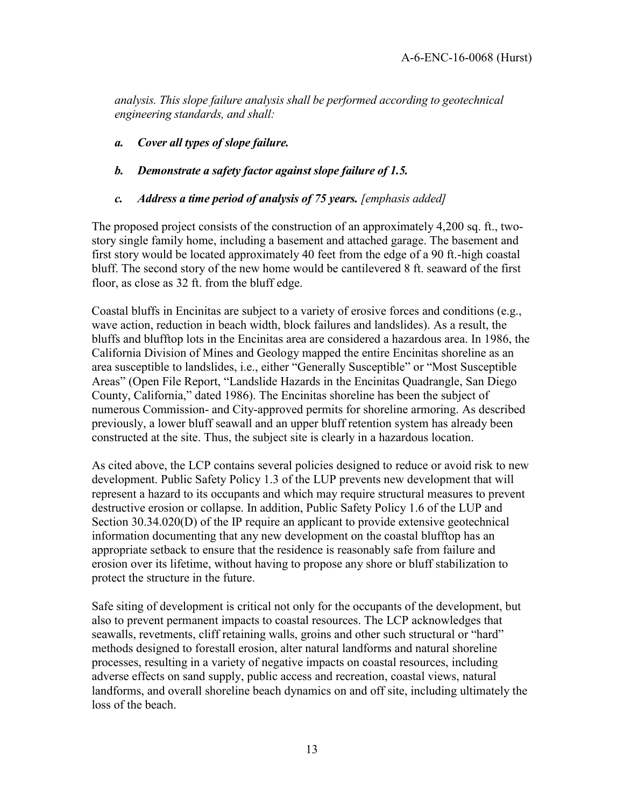*analysis. This slope failure analysis shall be performed according to geotechnical engineering standards, and shall:* 

- *a. Cover all types of slope failure.*
- *b. Demonstrate a safety factor against slope failure of 1.5.*
- *c. Address a time period of analysis of 75 years. [emphasis added]*

The proposed project consists of the construction of an approximately 4,200 sq. ft., twostory single family home, including a basement and attached garage. The basement and first story would be located approximately 40 feet from the edge of a 90 ft.-high coastal bluff. The second story of the new home would be cantilevered 8 ft. seaward of the first floor, as close as 32 ft. from the bluff edge.

Coastal bluffs in Encinitas are subject to a variety of erosive forces and conditions (e.g., wave action, reduction in beach width, block failures and landslides). As a result, the bluffs and blufftop lots in the Encinitas area are considered a hazardous area. In 1986, the California Division of Mines and Geology mapped the entire Encinitas shoreline as an area susceptible to landslides, i.e., either "Generally Susceptible" or "Most Susceptible Areas" (Open File Report, "Landslide Hazards in the Encinitas Quadrangle, San Diego County, California," dated 1986). The Encinitas shoreline has been the subject of numerous Commission- and City-approved permits for shoreline armoring. As described previously, a lower bluff seawall and an upper bluff retention system has already been constructed at the site. Thus, the subject site is clearly in a hazardous location.

As cited above, the LCP contains several policies designed to reduce or avoid risk to new development. Public Safety Policy 1.3 of the LUP prevents new development that will represent a hazard to its occupants and which may require structural measures to prevent destructive erosion or collapse. In addition, Public Safety Policy 1.6 of the LUP and Section 30.34.020(D) of the IP require an applicant to provide extensive geotechnical information documenting that any new development on the coastal blufftop has an appropriate setback to ensure that the residence is reasonably safe from failure and erosion over its lifetime, without having to propose any shore or bluff stabilization to protect the structure in the future.

Safe siting of development is critical not only for the occupants of the development, but also to prevent permanent impacts to coastal resources. The LCP acknowledges that seawalls, revetments, cliff retaining walls, groins and other such structural or "hard" methods designed to forestall erosion, alter natural landforms and natural shoreline processes, resulting in a variety of negative impacts on coastal resources, including adverse effects on sand supply, public access and recreation, coastal views, natural landforms, and overall shoreline beach dynamics on and off site, including ultimately the loss of the beach.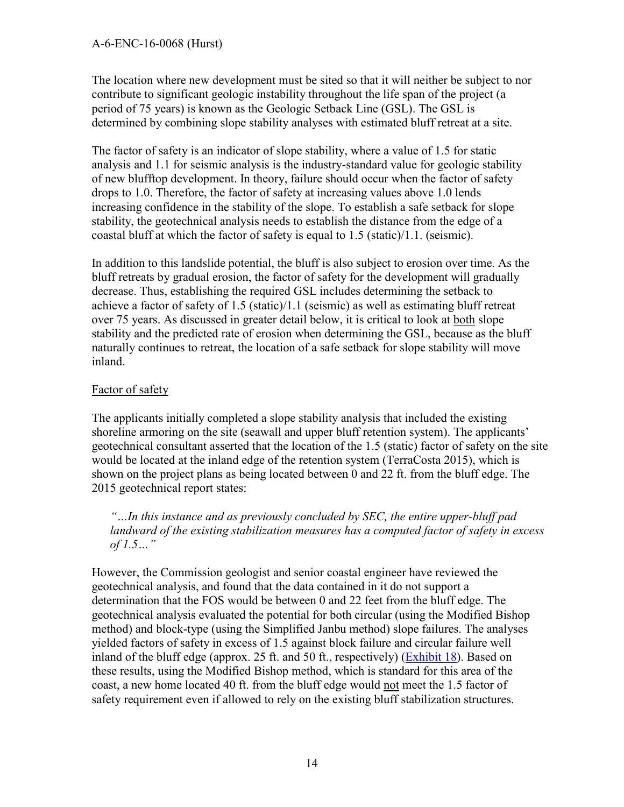The location where new development must be sited so that it will neither be subject to nor contribute to significant geologic instability throughout the life span of the project (a period of 75 years) is known as the Geologic Setback Line (GSL). The GSL is determined by combining slope stability analyses with estimated bluff retreat at a site.

The factor of safety is an indicator of slope stability, where a value of 1.5 for static analysis and 1.1 for seismic analysis is the industry-standard value for geologic stability of new blufftop development. In theory, failure should occur when the factor of safety drops to 1.0. Therefore, the factor of safety at increasing values above 1.0 lends increasing confidence in the stability of the slope. To establish a safe setback for slope stability, the geotechnical analysis needs to establish the distance from the edge of a coastal bluff at which the factor of safety is equal to 1.5 (static)/1.1. (seismic).

In addition to this landslide potential, the bluff is also subject to erosion over time. As the bluff retreats by gradual erosion, the factor of safety for the development will gradually decrease. Thus, establishing the required GSL includes determining the setback to achieve a factor of safety of 1.5 (static)/1.1 (seismic) as well as estimating bluff retreat over 75 years. As discussed in greater detail below, it is critical to look at both slope stability and the predicted rate of erosion when determining the GSL, because as the bluff naturally continues to retreat, the location of a safe setback for slope stability will move inland.

### Factor of safety

The applicants initially completed a slope stability analysis that included the existing shoreline armoring on the site (seawall and upper bluff retention system). The applicants' geotechnical consultant asserted that the location of the 1.5 (static) factor of safety on the site would be located at the inland edge of the retention system (TerraCosta 2015), which is shown on the project plans as being located between 0 and 22 ft. from the bluff edge. The 2015 geotechnical report states:

*"…In this instance and as previously concluded by SEC, the entire upper-bluff pad landward of the existing stabilization measures has a computed factor of safety in excess of 1.5…"* 

However, the Commission geologist and senior coastal engineer have reviewed the geotechnical analysis, and found that the data contained in it do not support a determination that the FOS would be between 0 and 22 feet from the bluff edge. The geotechnical analysis evaluated the potential for both circular (using the Modified Bishop method) and block-type (using the Simplified Janbu method) slope failures. The analyses yielded factors of safety in excess of 1.5 against block failure and circular failure well inland of the bluff edge (approx. 25 ft. and 50 ft., respectively) [\(Exhibit 18\)](https://documents.coastal.ca.gov/reports/2018/12/w21d/w21d-12-2018-exhibits.pdf). Based on these results, using the Modified Bishop method, which is standard for this area of the coast, a new home located 40 ft. from the bluff edge would not meet the 1.5 factor of safety requirement even if allowed to rely on the existing bluff stabilization structures.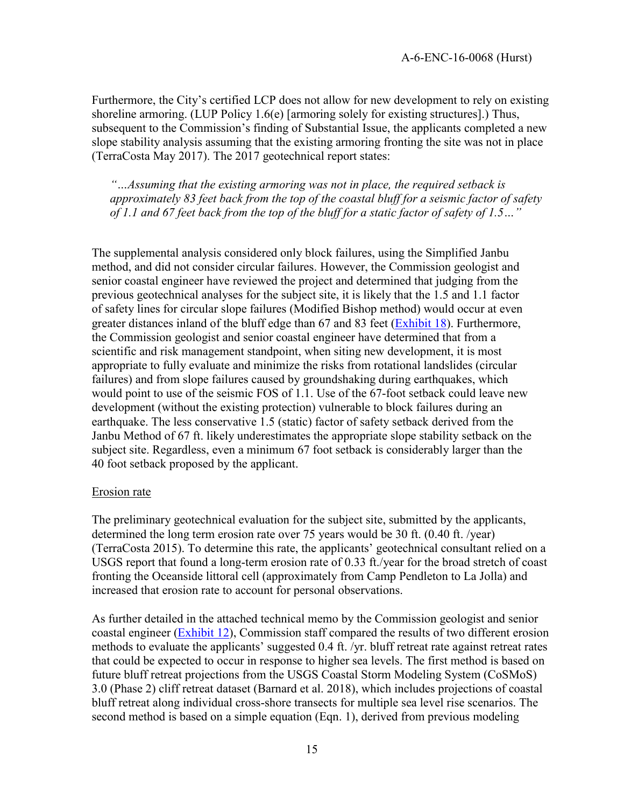Furthermore, the City's certified LCP does not allow for new development to rely on existing shoreline armoring. (LUP Policy 1.6(e) [armoring solely for existing structures].) Thus, subsequent to the Commission's finding of Substantial Issue, the applicants completed a new slope stability analysis assuming that the existing armoring fronting the site was not in place (TerraCosta May 2017). The 2017 geotechnical report states:

*"…Assuming that the existing armoring was not in place, the required setback is approximately 83 feet back from the top of the coastal bluff for a seismic factor of safety of 1.1 and 67 feet back from the top of the bluff for a static factor of safety of 1.5…"* 

The supplemental analysis considered only block failures, using the Simplified Janbu method, and did not consider circular failures. However, the Commission geologist and senior coastal engineer have reviewed the project and determined that judging from the previous geotechnical analyses for the subject site, it is likely that the 1.5 and 1.1 factor of safety lines for circular slope failures (Modified Bishop method) would occur at even greater distances inland of the bluff edge than 67 and 83 feet [\(Exhibit 18\)](https://documents.coastal.ca.gov/reports/2018/12/w21d/w21d-12-2018-exhibits.pdf). Furthermore, the Commission geologist and senior coastal engineer have determined that from a scientific and risk management standpoint, when siting new development, it is most appropriate to fully evaluate and minimize the risks from rotational landslides (circular failures) and from slope failures caused by groundshaking during earthquakes, which would point to use of the seismic FOS of 1.1. Use of the 67-foot setback could leave new development (without the existing protection) vulnerable to block failures during an earthquake. The less conservative 1.5 (static) factor of safety setback derived from the Janbu Method of 67 ft. likely underestimates the appropriate slope stability setback on the subject site. Regardless, even a minimum 67 foot setback is considerably larger than the 40 foot setback proposed by the applicant.

#### Erosion rate

The preliminary geotechnical evaluation for the subject site, submitted by the applicants, determined the long term erosion rate over 75 years would be 30 ft. (0.40 ft. /year) (TerraCosta 2015). To determine this rate, the applicants' geotechnical consultant relied on a USGS report that found a long-term erosion rate of 0.33 ft./year for the broad stretch of coast fronting the Oceanside littoral cell (approximately from Camp Pendleton to La Jolla) and increased that erosion rate to account for personal observations.

As further detailed in the attached technical memo by the Commission geologist and senior coastal engineer [\(Exhibit 12\)](https://documents.coastal.ca.gov/reports/2018/12/w21d/w21d-12-2018-exhibits.pdf), Commission staff compared the results of two different erosion methods to evaluate the applicants' suggested 0.4 ft. /yr. bluff retreat rate against retreat rates that could be expected to occur in response to higher sea levels. The first method is based on future bluff retreat projections from the USGS Coastal Storm Modeling System (CoSMoS) 3.0 (Phase 2) cliff retreat dataset (Barnard et al. 2018), which includes projections of coastal bluff retreat along individual cross-shore transects for multiple sea level rise scenarios. The second method is based on a simple equation (Eqn. 1), derived from previous modeling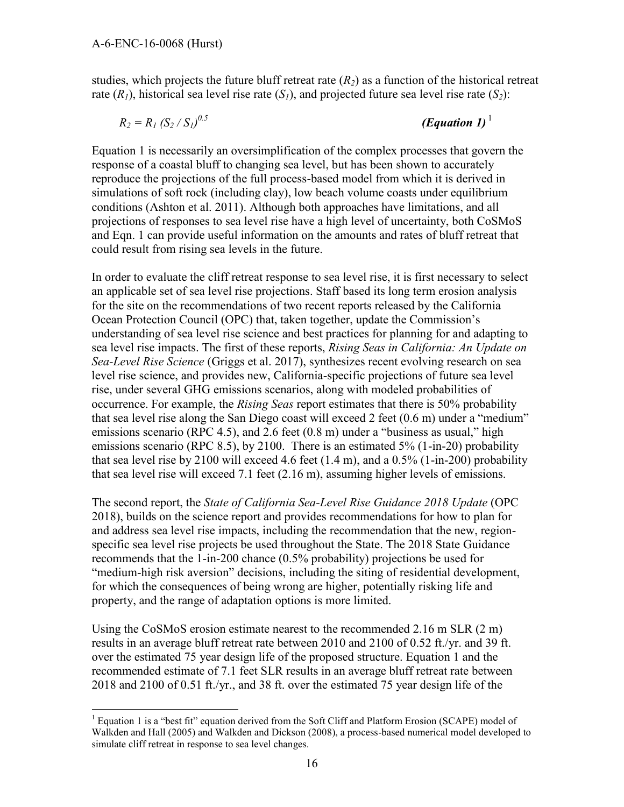$\overline{a}$ 

studies, which projects the future bluff retreat rate  $(R<sub>2</sub>)$  as a function of the historical retreat rate  $(R<sub>1</sub>)$ , historical sea level rise rate  $(S<sub>1</sub>)$ , and projected future sea level rise rate  $(S<sub>2</sub>)$ :

$$
R_2=R_I\left(S_2\,/\,S_I\right)^{0.5}
$$

*(Equation 1)*<sup> $1$ </sup>

Equation 1 is necessarily an oversimplification of the complex processes that govern the response of a coastal bluff to changing sea level, but has been shown to accurately reproduce the projections of the full process-based model from which it is derived in simulations of soft rock (including clay), low beach volume coasts under equilibrium conditions (Ashton et al. 2011). Although both approaches have limitations, and all projections of responses to sea level rise have a high level of uncertainty, both CoSMoS and Eqn. 1 can provide useful information on the amounts and rates of bluff retreat that could result from rising sea levels in the future.

In order to evaluate the cliff retreat response to sea level rise, it is first necessary to select an applicable set of sea level rise projections. Staff based its long term erosion analysis for the site on the recommendations of two recent reports released by the California Ocean Protection Council (OPC) that, taken together, update the Commission's understanding of sea level rise science and best practices for planning for and adapting to sea level rise impacts. The first of these reports, *Rising Seas in California: An Update on Sea-Level Rise Science* (Griggs et al. 2017), synthesizes recent evolving research on sea level rise science, and provides new, California-specific projections of future sea level rise, under several GHG emissions scenarios, along with modeled probabilities of occurrence. For example, the *Rising Seas* report estimates that there is 50% probability that sea level rise along the San Diego coast will exceed 2 feet (0.6 m) under a "medium" emissions scenario (RPC 4.5), and 2.6 feet (0.8 m) under a "business as usual," high emissions scenario (RPC 8.5), by 2100. There is an estimated 5% (1-in-20) probability that sea level rise by 2100 will exceed 4.6 feet  $(1.4 \text{ m})$ , and a  $0.5\%$   $(1-\text{in-200})$  probability that sea level rise will exceed 7.1 feet (2.16 m), assuming higher levels of emissions.

The second report, the *State of California Sea-Level Rise Guidance 2018 Update* (OPC 2018), builds on the science report and provides recommendations for how to plan for and address sea level rise impacts, including the recommendation that the new, regionspecific sea level rise projects be used throughout the State. The 2018 State Guidance recommends that the 1-in-200 chance (0.5% probability) projections be used for "medium-high risk aversion" decisions, including the siting of residential development, for which the consequences of being wrong are higher, potentially risking life and property, and the range of adaptation options is more limited.

Using the CoSMoS erosion estimate nearest to the recommended 2.16 m SLR  $(2 \text{ m})$ results in an average bluff retreat rate between 2010 and 2100 of 0.52 ft./yr. and 39 ft. over the estimated 75 year design life of the proposed structure. Equation 1 and the recommended estimate of 7.1 feet SLR results in an average bluff retreat rate between 2018 and 2100 of 0.51 ft./yr., and 38 ft. over the estimated 75 year design life of the

<sup>&</sup>lt;sup>1</sup> Equation 1 is a "best fit" equation derived from the Soft Cliff and Platform Erosion (SCAPE) model of Walkden and Hall (2005) and Walkden and Dickson (2008), a process-based numerical model developed to simulate cliff retreat in response to sea level changes.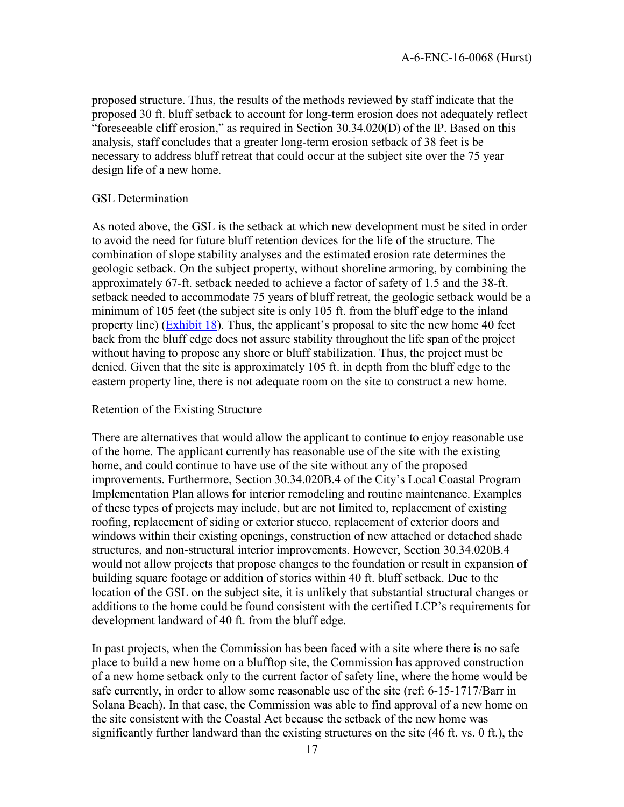proposed structure. Thus, the results of the methods reviewed by staff indicate that the proposed 30 ft. bluff setback to account for long-term erosion does not adequately reflect "foreseeable cliff erosion," as required in Section 30.34.020(D) of the IP. Based on this analysis, staff concludes that a greater long-term erosion setback of 38 feet is be necessary to address bluff retreat that could occur at the subject site over the 75 year design life of a new home.

#### GSL Determination

As noted above, the GSL is the setback at which new development must be sited in order to avoid the need for future bluff retention devices for the life of the structure. The combination of slope stability analyses and the estimated erosion rate determines the geologic setback. On the subject property, without shoreline armoring, by combining the approximately 67-ft. setback needed to achieve a factor of safety of 1.5 and the 38-ft. setback needed to accommodate 75 years of bluff retreat, the geologic setback would be a minimum of 105 feet (the subject site is only 105 ft. from the bluff edge to the inland property line) [\(Exhibit 18\)](https://documents.coastal.ca.gov/reports/2018/12/w21d/w21d-12-2018-exhibits.pdf). Thus, the applicant's proposal to site the new home 40 feet back from the bluff edge does not assure stability throughout the life span of the project without having to propose any shore or bluff stabilization. Thus, the project must be denied. Given that the site is approximately 105 ft. in depth from the bluff edge to the eastern property line, there is not adequate room on the site to construct a new home.

#### Retention of the Existing Structure

There are alternatives that would allow the applicant to continue to enjoy reasonable use of the home. The applicant currently has reasonable use of the site with the existing home, and could continue to have use of the site without any of the proposed improvements. Furthermore, Section 30.34.020B.4 of the City's Local Coastal Program Implementation Plan allows for interior remodeling and routine maintenance. Examples of these types of projects may include, but are not limited to, replacement of existing roofing, replacement of siding or exterior stucco, replacement of exterior doors and windows within their existing openings, construction of new attached or detached shade structures, and non-structural interior improvements. However, Section 30.34.020B.4 would not allow projects that propose changes to the foundation or result in expansion of building square footage or addition of stories within 40 ft. bluff setback. Due to the location of the GSL on the subject site, it is unlikely that substantial structural changes or additions to the home could be found consistent with the certified LCP's requirements for development landward of 40 ft. from the bluff edge.

In past projects, when the Commission has been faced with a site where there is no safe place to build a new home on a blufftop site, the Commission has approved construction of a new home setback only to the current factor of safety line, where the home would be safe currently, in order to allow some reasonable use of the site (ref: 6-15-1717/Barr in Solana Beach). In that case, the Commission was able to find approval of a new home on the site consistent with the Coastal Act because the setback of the new home was significantly further landward than the existing structures on the site (46 ft. vs. 0 ft.), the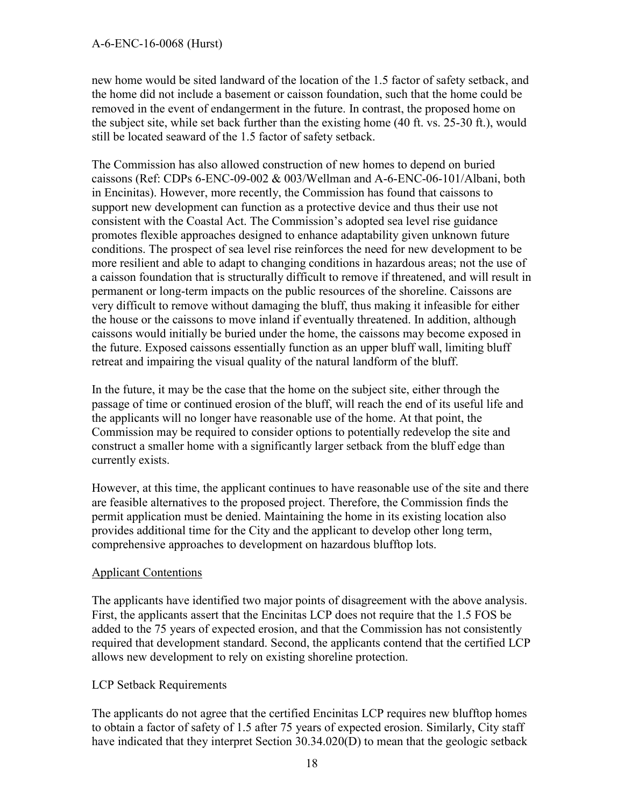new home would be sited landward of the location of the 1.5 factor of safety setback, and the home did not include a basement or caisson foundation, such that the home could be removed in the event of endangerment in the future. In contrast, the proposed home on the subject site, while set back further than the existing home (40 ft. vs. 25-30 ft.), would still be located seaward of the 1.5 factor of safety setback.

The Commission has also allowed construction of new homes to depend on buried caissons (Ref: CDPs 6-ENC-09-002 & 003/Wellman and A-6-ENC-06-101/Albani, both in Encinitas). However, more recently, the Commission has found that caissons to support new development can function as a protective device and thus their use not consistent with the Coastal Act. The Commission's adopted sea level rise guidance promotes flexible approaches designed to enhance adaptability given unknown future conditions. The prospect of sea level rise reinforces the need for new development to be more resilient and able to adapt to changing conditions in hazardous areas; not the use of a caisson foundation that is structurally difficult to remove if threatened, and will result in permanent or long-term impacts on the public resources of the shoreline. Caissons are very difficult to remove without damaging the bluff, thus making it infeasible for either the house or the caissons to move inland if eventually threatened. In addition, although caissons would initially be buried under the home, the caissons may become exposed in the future. Exposed caissons essentially function as an upper bluff wall, limiting bluff retreat and impairing the visual quality of the natural landform of the bluff.

In the future, it may be the case that the home on the subject site, either through the passage of time or continued erosion of the bluff, will reach the end of its useful life and the applicants will no longer have reasonable use of the home. At that point, the Commission may be required to consider options to potentially redevelop the site and construct a smaller home with a significantly larger setback from the bluff edge than currently exists.

However, at this time, the applicant continues to have reasonable use of the site and there are feasible alternatives to the proposed project. Therefore, the Commission finds the permit application must be denied. Maintaining the home in its existing location also provides additional time for the City and the applicant to develop other long term, comprehensive approaches to development on hazardous blufftop lots.

#### Applicant Contentions

The applicants have identified two major points of disagreement with the above analysis. First, the applicants assert that the Encinitas LCP does not require that the 1.5 FOS be added to the 75 years of expected erosion, and that the Commission has not consistently required that development standard. Second, the applicants contend that the certified LCP allows new development to rely on existing shoreline protection.

### LCP Setback Requirements

The applicants do not agree that the certified Encinitas LCP requires new blufftop homes to obtain a factor of safety of 1.5 after 75 years of expected erosion. Similarly, City staff have indicated that they interpret Section 30.34.020(D) to mean that the geologic setback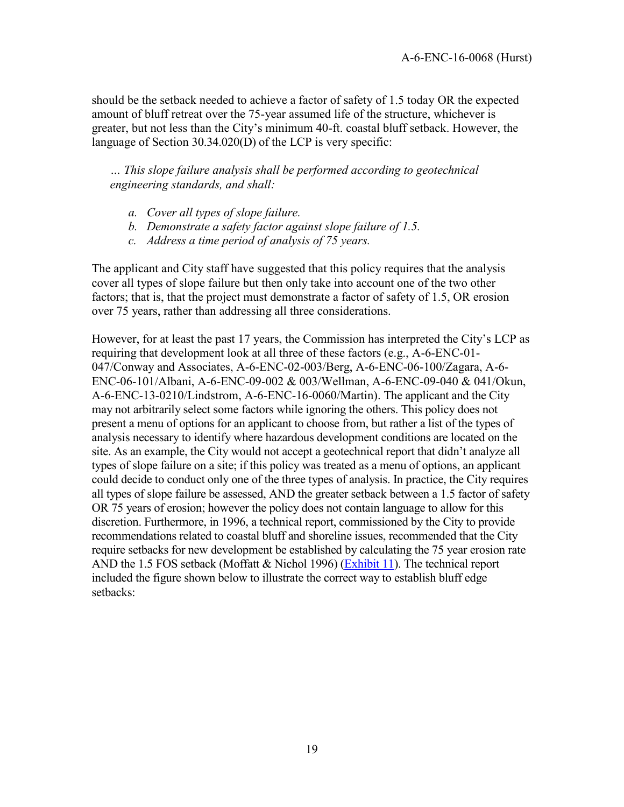should be the setback needed to achieve a factor of safety of 1.5 today OR the expected amount of bluff retreat over the 75-year assumed life of the structure, whichever is greater, but not less than the City's minimum 40-ft. coastal bluff setback. However, the language of Section 30.34.020(D) of the LCP is very specific:

*… This slope failure analysis shall be performed according to geotechnical engineering standards, and shall:* 

- *a. Cover all types of slope failure.*
- *b. Demonstrate a safety factor against slope failure of 1.5.*
- *c. Address a time period of analysis of 75 years.*

The applicant and City staff have suggested that this policy requires that the analysis cover all types of slope failure but then only take into account one of the two other factors; that is, that the project must demonstrate a factor of safety of 1.5, OR erosion over 75 years, rather than addressing all three considerations.

However, for at least the past 17 years, the Commission has interpreted the City's LCP as requiring that development look at all three of these factors (e.g., A-6-ENC-01- 047/Conway and Associates, A-6-ENC-02-003/Berg, A-6-ENC-06-100/Zagara, A-6- ENC-06-101/Albani, A-6-ENC-09-002 & 003/Wellman, A-6-ENC-09-040 & 041/Okun, A-6-ENC-13-0210/Lindstrom, A-6-ENC-16-0060/Martin). The applicant and the City may not arbitrarily select some factors while ignoring the others. This policy does not present a menu of options for an applicant to choose from, but rather a list of the types of analysis necessary to identify where hazardous development conditions are located on the site. As an example, the City would not accept a geotechnical report that didn't analyze all types of slope failure on a site; if this policy was treated as a menu of options, an applicant could decide to conduct only one of the three types of analysis. In practice, the City requires all types of slope failure be assessed, AND the greater setback between a 1.5 factor of safety OR 75 years of erosion; however the policy does not contain language to allow for this discretion. Furthermore, in 1996, a technical report, commissioned by the City to provide recommendations related to coastal bluff and shoreline issues, recommended that the City require setbacks for new development be established by calculating the 75 year erosion rate AND the 1.5 FOS setback (Moffatt & Nichol 1996) [\(Exhibit 11](https://documents.coastal.ca.gov/reports/2018/12/w21d/w21d-12-2018-exhibits.pdf)). The technical report included the figure shown below to illustrate the correct way to establish bluff edge setbacks: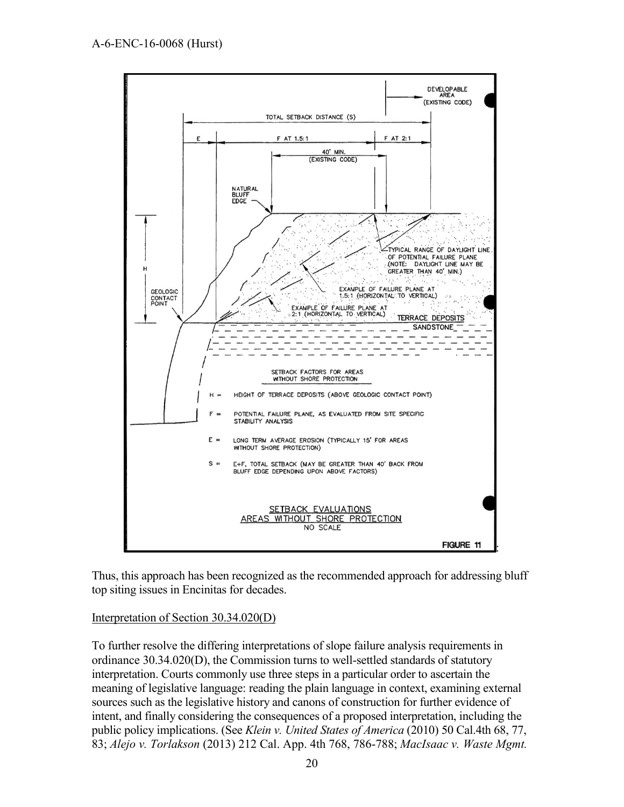

Thus, this approach has been recognized as the recommended approach for addressing bluff top siting issues in Encinitas for decades.

#### Interpretation of Section 30.34.020(D)

To further resolve the differing interpretations of slope failure analysis requirements in ordinance 30.34.020(D), the Commission turns to well-settled standards of statutory interpretation. Courts commonly use three steps in a particular order to ascertain the meaning of legislative language: reading the plain language in context, examining external sources such as the legislative history and canons of construction for further evidence of intent, and finally considering the consequences of a proposed interpretation, including the public policy implications. (See *Klein v. United States of America* (2010) 50 Cal.4th 68, 77, 83; *Alejo v. Torlakson* (2013) 212 Cal. App. 4th 768, 786-788; *MacIsaac v. Waste Mgmt.*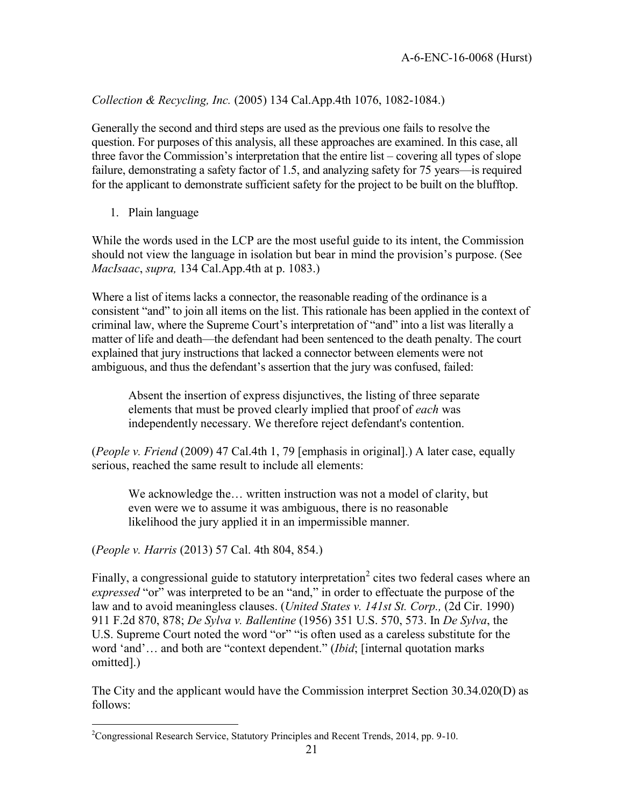#### *Collection & Recycling, Inc.* (2005) 134 Cal.App.4th 1076, 1082-1084.)

Generally the second and third steps are used as the previous one fails to resolve the question. For purposes of this analysis, all these approaches are examined. In this case, all three favor the Commission's interpretation that the entire list – covering all types of slope failure, demonstrating a safety factor of 1.5, and analyzing safety for 75 years—is required for the applicant to demonstrate sufficient safety for the project to be built on the blufftop.

1. Plain language

While the words used in the LCP are the most useful guide to its intent, the Commission should not view the language in isolation but bear in mind the provision's purpose. (See *MacIsaac*, *supra,* 134 Cal.App.4th at p. 1083.)

Where a list of items lacks a connector, the reasonable reading of the ordinance is a consistent "and" to join all items on the list. This rationale has been applied in the context of criminal law, where the Supreme Court's interpretation of "and" into a list was literally a matter of life and death—the defendant had been sentenced to the death penalty. The court explained that jury instructions that lacked a connector between elements were not ambiguous, and thus the defendant's assertion that the jury was confused, failed:

Absent the insertion of express disjunctives, the listing of three separate elements that must be proved clearly implied that proof of *each* was independently necessary. We therefore reject defendant's contention.

(*People v. Friend* (2009) 47 Cal.4th 1, 79 [emphasis in original].) A later case, equally serious, reached the same result to include all elements:

We acknowledge the… written instruction was not a model of clarity, but even were we to assume it was ambiguous, there is no reasonable likelihood the jury applied it in an impermissible manner.

(*People v. Harris* (2013) 57 Cal. 4th 804, 854.)

 $\overline{a}$ 

Finally, a congressional guide to statutory interpretation<sup>2</sup> cites two federal cases where an *expressed* "or" was interpreted to be an "and," in order to effectuate the purpose of the law and to avoid meaningless clauses. (*United States v. 141st St. Corp.,* (2d Cir. 1990) 911 F.2d 870, 878; *De Sylva v. Ballentine* (1956) 351 U.S. 570, 573. In *De Sylva*, the U.S. Supreme Court noted the word "or" "is often used as a careless substitute for the word 'and'… and both are "context dependent." (*Ibid*; [internal quotation marks omitted].)

The City and the applicant would have the Commission interpret Section 30.34.020(D) as follows:

 $2^2$ Congressional Research Service, Statutory Principles and Recent Trends, 2014, pp. 9-10.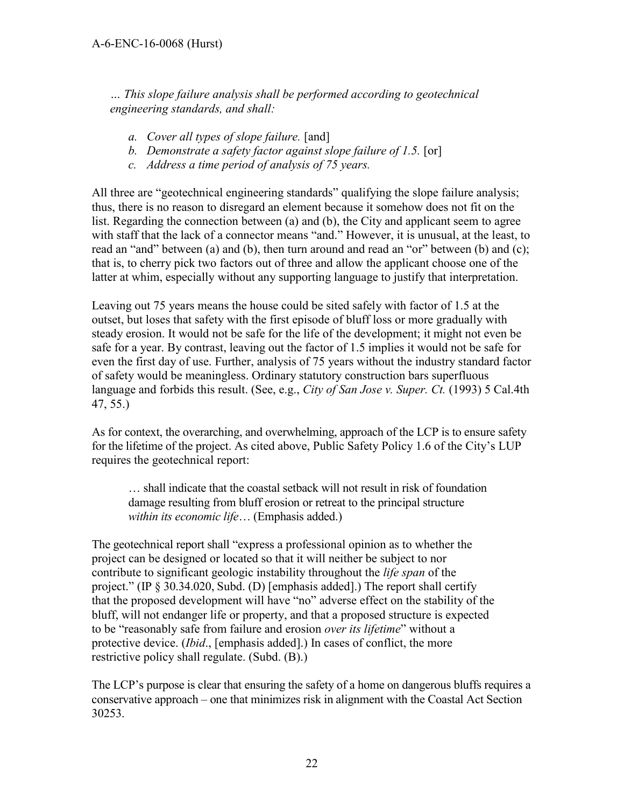*… This slope failure analysis shall be performed according to geotechnical engineering standards, and shall:* 

- *a. Cover all types of slope failure.* [and]
- *b. Demonstrate a safety factor against slope failure of 1.5.* [or]
- *c. Address a time period of analysis of 75 years.*

All three are "geotechnical engineering standards" qualifying the slope failure analysis; thus, there is no reason to disregard an element because it somehow does not fit on the list. Regarding the connection between (a) and (b), the City and applicant seem to agree with staff that the lack of a connector means "and." However, it is unusual, at the least, to read an "and" between (a) and (b), then turn around and read an "or" between (b) and (c); that is, to cherry pick two factors out of three and allow the applicant choose one of the latter at whim, especially without any supporting language to justify that interpretation.

Leaving out 75 years means the house could be sited safely with factor of 1.5 at the outset, but loses that safety with the first episode of bluff loss or more gradually with steady erosion. It would not be safe for the life of the development; it might not even be safe for a year. By contrast, leaving out the factor of 1.5 implies it would not be safe for even the first day of use. Further, analysis of 75 years without the industry standard factor of safety would be meaningless. Ordinary statutory construction bars superfluous language and forbids this result. (See, e.g., *City of San Jose v. Super. Ct.* (1993) 5 Cal.4th 47, 55.)

As for context, the overarching, and overwhelming, approach of the LCP is to ensure safety for the lifetime of the project. As cited above, Public Safety Policy 1.6 of the City's LUP requires the geotechnical report:

… shall indicate that the coastal setback will not result in risk of foundation damage resulting from bluff erosion or retreat to the principal structure *within its economic life*… (Emphasis added.)

The geotechnical report shall "express a professional opinion as to whether the project can be designed or located so that it will neither be subject to nor contribute to significant geologic instability throughout the *life span* of the project." (IP § 30.34.020, Subd. (D) [emphasis added].) The report shall certify that the proposed development will have "no" adverse effect on the stability of the bluff, will not endanger life or property, and that a proposed structure is expected to be "reasonably safe from failure and erosion *over its lifetime*" without a protective device. (*Ibid*., [emphasis added].) In cases of conflict, the more restrictive policy shall regulate. (Subd. (B).)

The LCP's purpose is clear that ensuring the safety of a home on dangerous bluffs requires a conservative approach – one that minimizes risk in alignment with the Coastal Act Section 30253.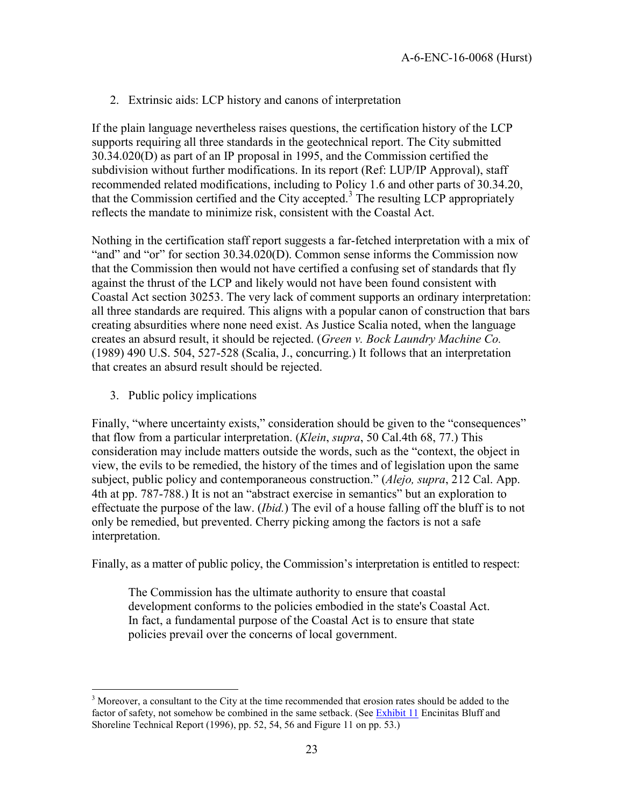2. Extrinsic aids: LCP history and canons of interpretation

If the plain language nevertheless raises questions, the certification history of the LCP supports requiring all three standards in the geotechnical report. The City submitted 30.34.020(D) as part of an IP proposal in 1995, and the Commission certified the subdivision without further modifications. In its report (Ref: LUP/IP Approval), staff recommended related modifications, including to Policy 1.6 and other parts of 30.34.20, that the Commission certified and the City accepted.<sup>3</sup> The resulting LCP appropriately reflects the mandate to minimize risk, consistent with the Coastal Act.

Nothing in the certification staff report suggests a far-fetched interpretation with a mix of "and" and "or" for section 30.34.020(D). Common sense informs the Commission now that the Commission then would not have certified a confusing set of standards that fly against the thrust of the LCP and likely would not have been found consistent with Coastal Act section 30253. The very lack of comment supports an ordinary interpretation: all three standards are required. This aligns with a popular canon of construction that bars creating absurdities where none need exist. As Justice Scalia noted, when the language creates an absurd result, it should be rejected. (*Green v. Bock Laundry Machine Co.* (1989) 490 U.S. 504, 527-528 (Scalia, J., concurring.) It follows that an interpretation that creates an absurd result should be rejected.

3. Public policy implications

 $\overline{a}$ 

Finally, "where uncertainty exists," consideration should be given to the "consequences" that flow from a particular interpretation. (*Klein*, *supra*, 50 Cal.4th 68, 77.) This consideration may include matters outside the words, such as the "context, the object in view, the evils to be remedied, the history of the times and of legislation upon the same subject, public policy and contemporaneous construction." (*Alejo, supra*, 212 Cal. App. 4th at pp. 787-788.) It is not an "abstract exercise in semantics" but an exploration to effectuate the purpose of the law. (*Ibid.*) The evil of a house falling off the bluff is to not only be remedied, but prevented. Cherry picking among the factors is not a safe interpretation.

Finally, as a matter of public policy, the Commission's interpretation is entitled to respect:

The Commission has the ultimate authority to ensure that coastal development conforms to the policies embodied in the state's Coastal Act. In fact, a fundamental purpose of the Coastal Act is to ensure that state policies prevail over the concerns of local government.

<sup>&</sup>lt;sup>3</sup> Moreover, a consultant to the City at the time recommended that erosion rates should be added to the factor of safety, not somehow be combined in the same setback. (See [Exhibit 11](https://documents.coastal.ca.gov/reports/2018/12/w21d/w21d-12-2018-exhibits.pdf) Encinitas Bluff and Shoreline Technical Report (1996), pp. 52, 54, 56 and Figure 11 on pp. 53.)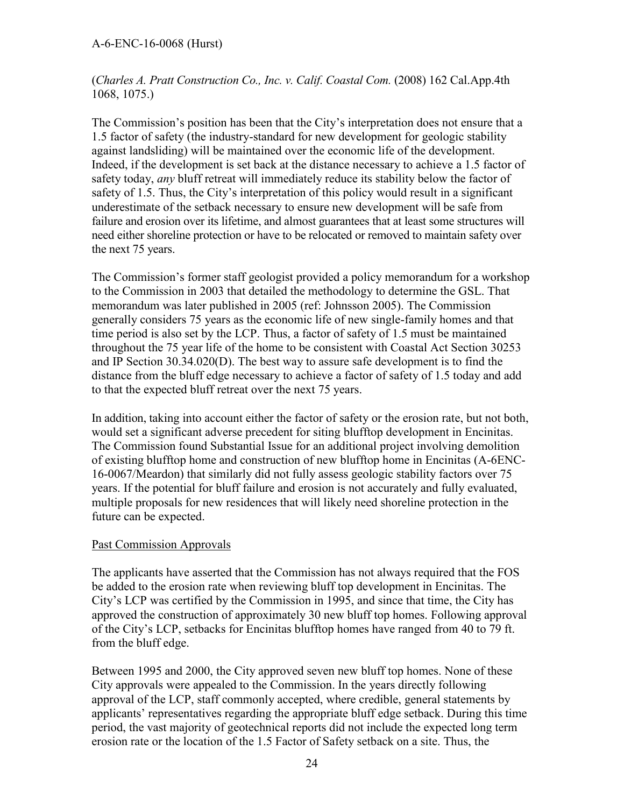#### A-6-ENC-16-0068 (Hurst)

(*Charles A. Pratt Construction Co., Inc. v. Calif. Coastal Com.* (2008) 162 Cal.App.4th 1068, 1075.)

The Commission's position has been that the City's interpretation does not ensure that a 1.5 factor of safety (the industry-standard for new development for geologic stability against landsliding) will be maintained over the economic life of the development. Indeed, if the development is set back at the distance necessary to achieve a 1.5 factor of safety today, *any* bluff retreat will immediately reduce its stability below the factor of safety of 1.5. Thus, the City's interpretation of this policy would result in a significant underestimate of the setback necessary to ensure new development will be safe from failure and erosion over its lifetime, and almost guarantees that at least some structures will need either shoreline protection or have to be relocated or removed to maintain safety over the next 75 years.

The Commission's former staff geologist provided a policy memorandum for a workshop to the Commission in 2003 that detailed the methodology to determine the GSL. That memorandum was later published in 2005 (ref: Johnsson 2005). The Commission generally considers 75 years as the economic life of new single-family homes and that time period is also set by the LCP. Thus, a factor of safety of 1.5 must be maintained throughout the 75 year life of the home to be consistent with Coastal Act Section 30253 and IP Section 30.34.020(D). The best way to assure safe development is to find the distance from the bluff edge necessary to achieve a factor of safety of 1.5 today and add to that the expected bluff retreat over the next 75 years.

In addition, taking into account either the factor of safety or the erosion rate, but not both, would set a significant adverse precedent for siting blufftop development in Encinitas. The Commission found Substantial Issue for an additional project involving demolition of existing blufftop home and construction of new blufftop home in Encinitas (A-6ENC-16-0067/Meardon) that similarly did not fully assess geologic stability factors over 75 years. If the potential for bluff failure and erosion is not accurately and fully evaluated, multiple proposals for new residences that will likely need shoreline protection in the future can be expected.

#### Past Commission Approvals

The applicants have asserted that the Commission has not always required that the FOS be added to the erosion rate when reviewing bluff top development in Encinitas. The City's LCP was certified by the Commission in 1995, and since that time, the City has approved the construction of approximately 30 new bluff top homes. Following approval of the City's LCP, setbacks for Encinitas blufftop homes have ranged from 40 to 79 ft. from the bluff edge.

Between 1995 and 2000, the City approved seven new bluff top homes. None of these City approvals were appealed to the Commission. In the years directly following approval of the LCP, staff commonly accepted, where credible, general statements by applicants' representatives regarding the appropriate bluff edge setback. During this time period, the vast majority of geotechnical reports did not include the expected long term erosion rate or the location of the 1.5 Factor of Safety setback on a site. Thus, the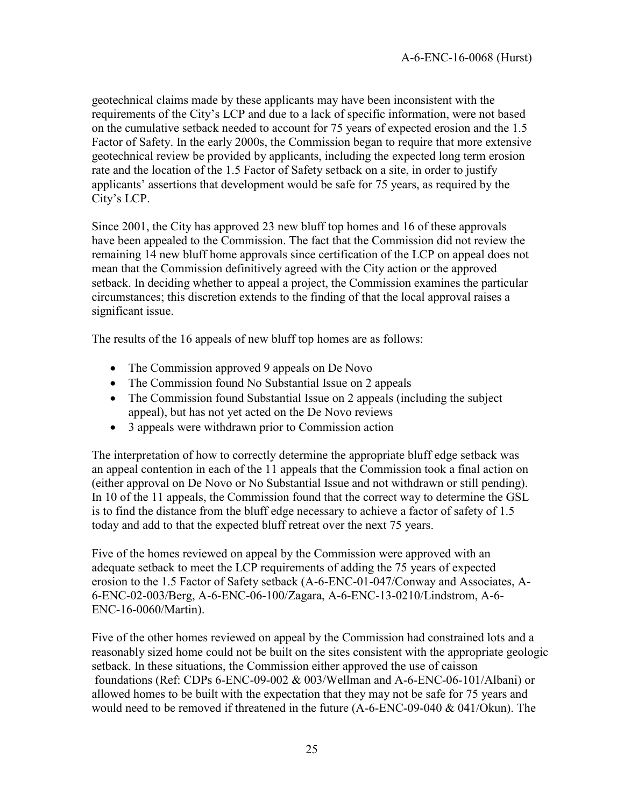geotechnical claims made by these applicants may have been inconsistent with the requirements of the City's LCP and due to a lack of specific information, were not based on the cumulative setback needed to account for 75 years of expected erosion and the 1.5 Factor of Safety. In the early 2000s, the Commission began to require that more extensive geotechnical review be provided by applicants, including the expected long term erosion rate and the location of the 1.5 Factor of Safety setback on a site, in order to justify applicants' assertions that development would be safe for 75 years, as required by the City's LCP.

Since 2001, the City has approved 23 new bluff top homes and 16 of these approvals have been appealed to the Commission. The fact that the Commission did not review the remaining 14 new bluff home approvals since certification of the LCP on appeal does not mean that the Commission definitively agreed with the City action or the approved setback. In deciding whether to appeal a project, the Commission examines the particular circumstances; this discretion extends to the finding of that the local approval raises a significant issue.

The results of the 16 appeals of new bluff top homes are as follows:

- The Commission approved 9 appeals on De Novo
- The Commission found No Substantial Issue on 2 appeals
- The Commission found Substantial Issue on 2 appeals (including the subject appeal), but has not yet acted on the De Novo reviews
- 3 appeals were withdrawn prior to Commission action

The interpretation of how to correctly determine the appropriate bluff edge setback was an appeal contention in each of the 11 appeals that the Commission took a final action on (either approval on De Novo or No Substantial Issue and not withdrawn or still pending). In 10 of the 11 appeals, the Commission found that the correct way to determine the GSL is to find the distance from the bluff edge necessary to achieve a factor of safety of 1.5 today and add to that the expected bluff retreat over the next 75 years.

Five of the homes reviewed on appeal by the Commission were approved with an adequate setback to meet the LCP requirements of adding the 75 years of expected erosion to the 1.5 Factor of Safety setback (A-6-ENC-01-047/Conway and Associates, A-6-ENC-02-003/Berg, A-6-ENC-06-100/Zagara, A-6-ENC-13-0210/Lindstrom, A-6- ENC-16-0060/Martin).

Five of the other homes reviewed on appeal by the Commission had constrained lots and a reasonably sized home could not be built on the sites consistent with the appropriate geologic setback. In these situations, the Commission either approved the use of caisson foundations (Ref: CDPs 6-ENC-09-002 & 003/Wellman and A-6-ENC-06-101/Albani) or allowed homes to be built with the expectation that they may not be safe for 75 years and would need to be removed if threatened in the future (A-6-ENC-09-040 & 041/Okun). The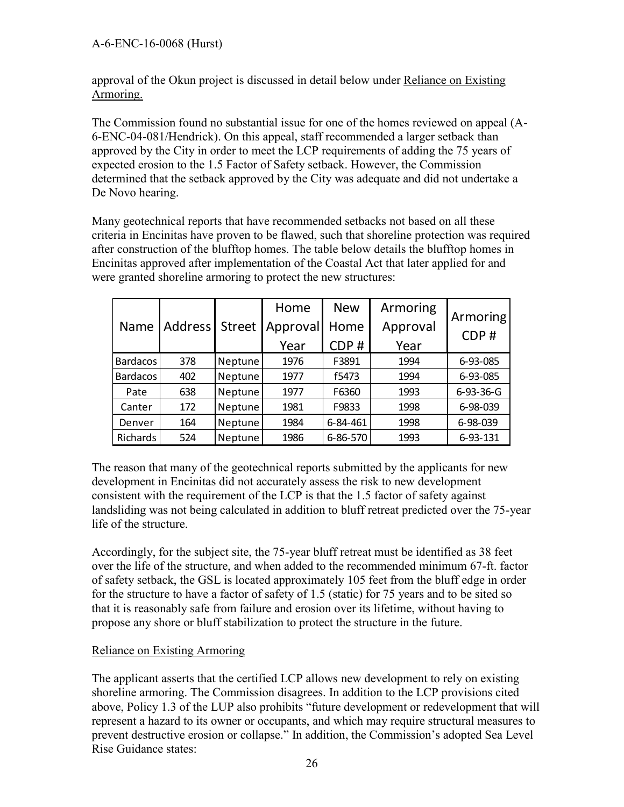approval of the Okun project is discussed in detail below under Reliance on Existing Armoring.

The Commission found no substantial issue for one of the homes reviewed on appeal (A-6-ENC-04-081/Hendrick). On this appeal, staff recommended a larger setback than approved by the City in order to meet the LCP requirements of adding the 75 years of expected erosion to the 1.5 Factor of Safety setback. However, the Commission determined that the setback approved by the City was adequate and did not undertake a De Novo hearing.

Many geotechnical reports that have recommended setbacks not based on all these criteria in Encinitas have proven to be flawed, such that shoreline protection was required after construction of the blufftop homes. The table below details the blufftop homes in Encinitas approved after implementation of the Coastal Act that later applied for and were granted shoreline armoring to protect the new structures:

| were granted shoreline armoring to protect the new structures:                                                                                                                                                                                                                                                                                                                                                                                                                                                                                                                                                                                                                         |                 |                |               |          |            |          |           |
|----------------------------------------------------------------------------------------------------------------------------------------------------------------------------------------------------------------------------------------------------------------------------------------------------------------------------------------------------------------------------------------------------------------------------------------------------------------------------------------------------------------------------------------------------------------------------------------------------------------------------------------------------------------------------------------|-----------------|----------------|---------------|----------|------------|----------|-----------|
|                                                                                                                                                                                                                                                                                                                                                                                                                                                                                                                                                                                                                                                                                        |                 |                |               | Home     | <b>New</b> | Armoring |           |
|                                                                                                                                                                                                                                                                                                                                                                                                                                                                                                                                                                                                                                                                                        | Name            | <b>Address</b> | <b>Street</b> | Approval | Home       | Approval | Armoring  |
|                                                                                                                                                                                                                                                                                                                                                                                                                                                                                                                                                                                                                                                                                        |                 |                |               | Year     | CDP#       | Year     | CDP#      |
|                                                                                                                                                                                                                                                                                                                                                                                                                                                                                                                                                                                                                                                                                        | <b>Bardacos</b> | 378            | Neptune       | 1976     | F3891      | 1994     | 6-93-085  |
|                                                                                                                                                                                                                                                                                                                                                                                                                                                                                                                                                                                                                                                                                        | <b>Bardacos</b> | 402            | Neptune       | 1977     | f5473      | 1994     | 6-93-085  |
|                                                                                                                                                                                                                                                                                                                                                                                                                                                                                                                                                                                                                                                                                        | Pate            | 638            | Neptune       | 1977     | F6360      | 1993     | 6-93-36-G |
|                                                                                                                                                                                                                                                                                                                                                                                                                                                                                                                                                                                                                                                                                        | Canter          | 172            | Neptune       | 1981     | F9833      | 1998     | 6-98-039  |
|                                                                                                                                                                                                                                                                                                                                                                                                                                                                                                                                                                                                                                                                                        | Denver          | 164            | Neptune       | 1984     | 6-84-461   | 1998     | 6-98-039  |
|                                                                                                                                                                                                                                                                                                                                                                                                                                                                                                                                                                                                                                                                                        | Richards        | 524            | Neptune       | 1986     | 6-86-570   | 1993     | 6-93-131  |
| landsliding was not being calculated in addition to bluff retreat predicted over the 75-<br>life of the structure.<br>Accordingly, for the subject site, the 75-year bluff retreat must be identified as 38 feet<br>over the life of the structure, and when added to the recommended minimum 67-ft. factor-<br>of safety setback, the GSL is located approximately 105 feet from the bluff edge in or<br>for the structure to have a factor of safety of 1.5 (static) for 75 years and to be sited so<br>that it is reasonably safe from failure and erosion over its lifetime, without having to<br>propose any shore or bluff stabilization to protect the structure in the future. |                 |                |               |          |            |          |           |
| <b>Reliance on Existing Armoring</b><br>The applicant asserts that the certified LCP allows new development to rely on existin<br>shoreline armoring. The Commission disagrees. In addition to the LCP provisions cite<br>above, Policy 1.3 of the LUP also prohibits "future development or redevelopment that<br>represent a hazard to its owner or occupants, and which may require structural measur<br>prevent destructive erosion or collapse." In addition, the Commission's adopted Sea L<br><b>Rise Guidance states:</b>                                                                                                                                                      |                 |                |               |          |            |          |           |

The reason that many of the geotechnical reports submitted by the applicants for new development in Encinitas did not accurately assess the risk to new development consistent with the requirement of the LCP is that the 1.5 factor of safety against landsliding was not being calculated in addition to bluff retreat predicted over the 75-year life of the structure.

### Reliance on Existing Armoring

The applicant asserts that the certified LCP allows new development to rely on existing shoreline armoring. The Commission disagrees. In addition to the LCP provisions cited above, Policy 1.3 of the LUP also prohibits "future development or redevelopment that will represent a hazard to its owner or occupants, and which may require structural measures to prevent destructive erosion or collapse." In addition, the Commission's adopted Sea Level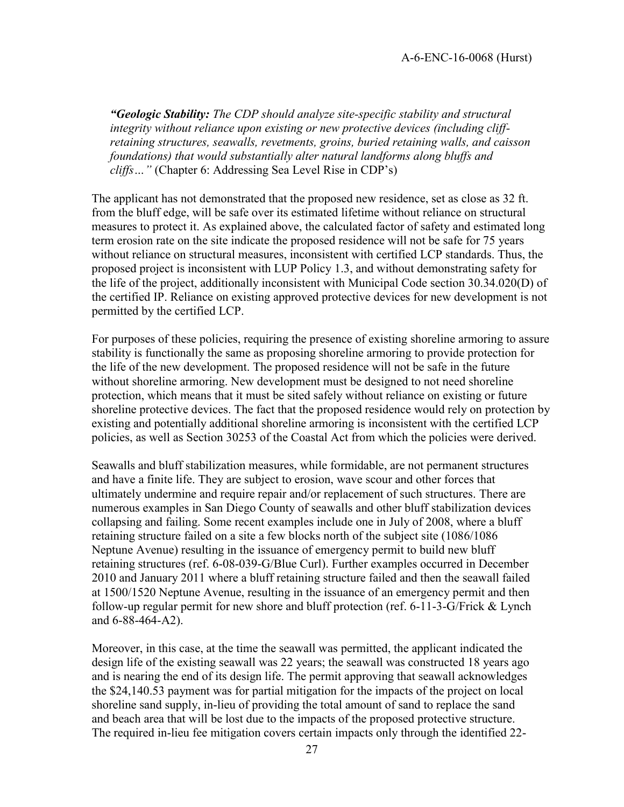*"Geologic Stability: The CDP should analyze site-specific stability and structural integrity without reliance upon existing or new protective devices (including cliffretaining structures, seawalls, revetments, groins, buried retaining walls, and caisson foundations) that would substantially alter natural landforms along bluffs and cliffs…"* (Chapter 6: Addressing Sea Level Rise in CDP's)

The applicant has not demonstrated that the proposed new residence, set as close as 32 ft. from the bluff edge, will be safe over its estimated lifetime without reliance on structural measures to protect it. As explained above, the calculated factor of safety and estimated long term erosion rate on the site indicate the proposed residence will not be safe for 75 years without reliance on structural measures, inconsistent with certified LCP standards. Thus, the proposed project is inconsistent with LUP Policy 1.3, and without demonstrating safety for the life of the project, additionally inconsistent with Municipal Code section 30.34.020(D) of the certified IP. Reliance on existing approved protective devices for new development is not permitted by the certified LCP.

For purposes of these policies, requiring the presence of existing shoreline armoring to assure stability is functionally the same as proposing shoreline armoring to provide protection for the life of the new development. The proposed residence will not be safe in the future without shoreline armoring. New development must be designed to not need shoreline protection, which means that it must be sited safely without reliance on existing or future shoreline protective devices. The fact that the proposed residence would rely on protection by existing and potentially additional shoreline armoring is inconsistent with the certified LCP policies, as well as Section 30253 of the Coastal Act from which the policies were derived.

Seawalls and bluff stabilization measures, while formidable, are not permanent structures and have a finite life. They are subject to erosion, wave scour and other forces that ultimately undermine and require repair and/or replacement of such structures. There are numerous examples in San Diego County of seawalls and other bluff stabilization devices collapsing and failing. Some recent examples include one in July of 2008, where a bluff retaining structure failed on a site a few blocks north of the subject site (1086/1086 Neptune Avenue) resulting in the issuance of emergency permit to build new bluff retaining structures (ref. 6-08-039-G/Blue Curl). Further examples occurred in December 2010 and January 2011 where a bluff retaining structure failed and then the seawall failed at 1500/1520 Neptune Avenue, resulting in the issuance of an emergency permit and then follow-up regular permit for new shore and bluff protection (ref. 6-11-3-G/Frick & Lynch and 6-88-464-A2).

Moreover, in this case, at the time the seawall was permitted, the applicant indicated the design life of the existing seawall was 22 years; the seawall was constructed 18 years ago and is nearing the end of its design life. The permit approving that seawall acknowledges the \$24,140.53 payment was for partial mitigation for the impacts of the project on local shoreline sand supply, in-lieu of providing the total amount of sand to replace the sand and beach area that will be lost due to the impacts of the proposed protective structure. The required in-lieu fee mitigation covers certain impacts only through the identified 22-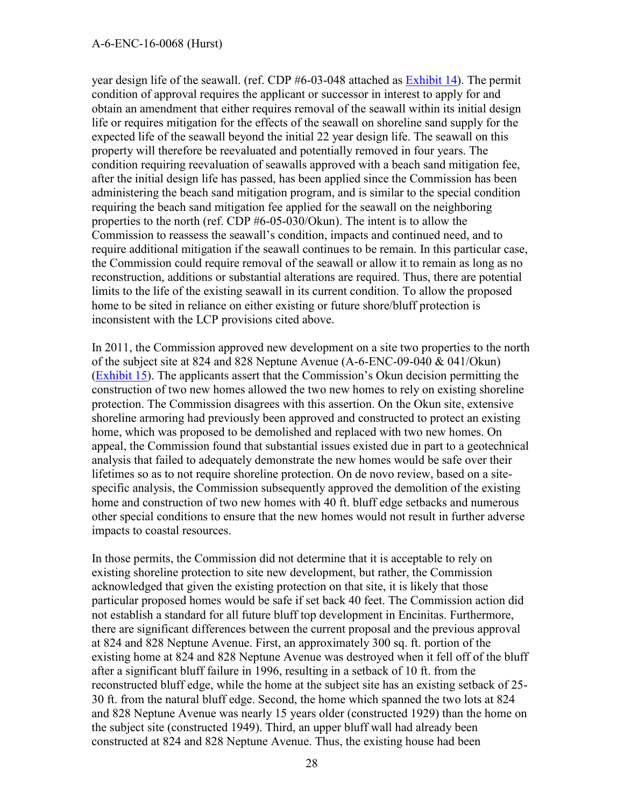#### A-6-ENC-16-0068 (Hurst)

year design life of the seawall. (ref. CDP #6-03-048 attached as [Exhibit 14\)](https://documents.coastal.ca.gov/reports/2018/12/w21d/w21d-12-2018-exhibits.pdf). The permit condition of approval requires the applicant or successor in interest to apply for and obtain an amendment that either requires removal of the seawall within its initial design life or requires mitigation for the effects of the seawall on shoreline sand supply for the expected life of the seawall beyond the initial 22 year design life. The seawall on this property will therefore be reevaluated and potentially removed in four years. The condition requiring reevaluation of seawalls approved with a beach sand mitigation fee, after the initial design life has passed, has been applied since the Commission has been administering the beach sand mitigation program, and is similar to the special condition requiring the beach sand mitigation fee applied for the seawall on the neighboring properties to the north (ref. CDP #6-05-030/Okun). The intent is to allow the Commission to reassess the seawall's condition, impacts and continued need, and to require additional mitigation if the seawall continues to be remain. In this particular case, the Commission could require removal of the seawall or allow it to remain as long as no reconstruction, additions or substantial alterations are required. Thus, there are potential limits to the life of the existing seawall in its current condition. To allow the proposed home to be sited in reliance on either existing or future shore/bluff protection is inconsistent with the LCP provisions cited above.

In 2011, the Commission approved new development on a site two properties to the north of the subject site at 824 and 828 Neptune Avenue (A-6-ENC-09-040 & 041/Okun) [\(Exhibit 15](https://documents.coastal.ca.gov/reports/2018/12/w21d/w21d-12-2018-exhibits.pdf)). The applicants assert that the Commission's Okun decision permitting the construction of two new homes allowed the two new homes to rely on existing shoreline protection. The Commission disagrees with this assertion. On the Okun site, extensive shoreline armoring had previously been approved and constructed to protect an existing home, which was proposed to be demolished and replaced with two new homes. On appeal, the Commission found that substantial issues existed due in part to a geotechnical analysis that failed to adequately demonstrate the new homes would be safe over their lifetimes so as to not require shoreline protection. On de novo review, based on a sitespecific analysis, the Commission subsequently approved the demolition of the existing home and construction of two new homes with 40 ft. bluff edge setbacks and numerous other special conditions to ensure that the new homes would not result in further adverse impacts to coastal resources.

In those permits, the Commission did not determine that it is acceptable to rely on existing shoreline protection to site new development, but rather, the Commission acknowledged that given the existing protection on that site, it is likely that those particular proposed homes would be safe if set back 40 feet. The Commission action did not establish a standard for all future bluff top development in Encinitas. Furthermore, there are significant differences between the current proposal and the previous approval at 824 and 828 Neptune Avenue. First, an approximately 300 sq. ft. portion of the existing home at 824 and 828 Neptune Avenue was destroyed when it fell off of the bluff after a significant bluff failure in 1996, resulting in a setback of 10 ft. from the reconstructed bluff edge, while the home at the subject site has an existing setback of 25- 30 ft. from the natural bluff edge. Second, the home which spanned the two lots at 824 and 828 Neptune Avenue was nearly 15 years older (constructed 1929) than the home on the subject site (constructed 1949). Third, an upper bluff wall had already been constructed at 824 and 828 Neptune Avenue. Thus, the existing house had been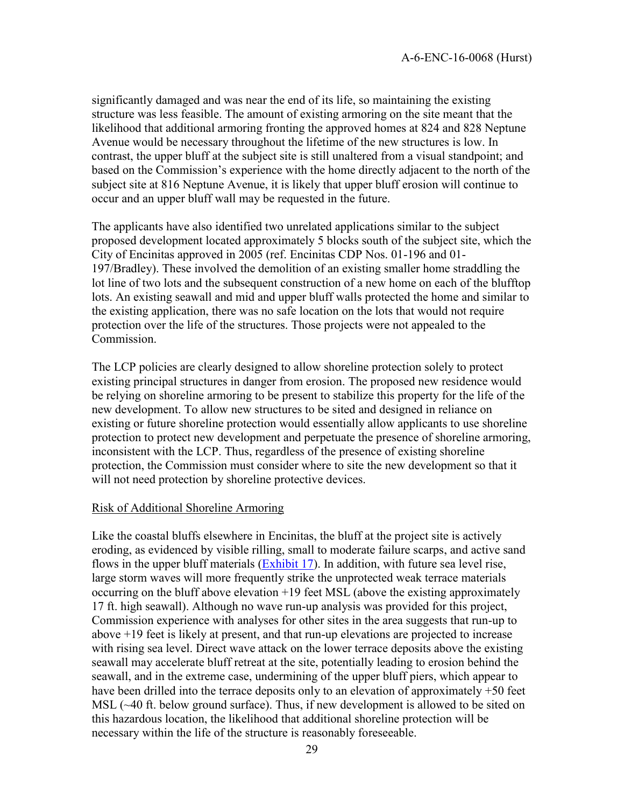significantly damaged and was near the end of its life, so maintaining the existing structure was less feasible. The amount of existing armoring on the site meant that the likelihood that additional armoring fronting the approved homes at 824 and 828 Neptune Avenue would be necessary throughout the lifetime of the new structures is low. In contrast, the upper bluff at the subject site is still unaltered from a visual standpoint; and based on the Commission's experience with the home directly adjacent to the north of the subject site at 816 Neptune Avenue, it is likely that upper bluff erosion will continue to occur and an upper bluff wall may be requested in the future.

The applicants have also identified two unrelated applications similar to the subject proposed development located approximately 5 blocks south of the subject site, which the City of Encinitas approved in 2005 (ref. Encinitas CDP Nos. 01-196 and 01- 197/Bradley). These involved the demolition of an existing smaller home straddling the lot line of two lots and the subsequent construction of a new home on each of the blufftop lots. An existing seawall and mid and upper bluff walls protected the home and similar to the existing application, there was no safe location on the lots that would not require protection over the life of the structures. Those projects were not appealed to the **Commission** 

The LCP policies are clearly designed to allow shoreline protection solely to protect existing principal structures in danger from erosion. The proposed new residence would be relying on shoreline armoring to be present to stabilize this property for the life of the new development. To allow new structures to be sited and designed in reliance on existing or future shoreline protection would essentially allow applicants to use shoreline protection to protect new development and perpetuate the presence of shoreline armoring, inconsistent with the LCP. Thus, regardless of the presence of existing shoreline protection, the Commission must consider where to site the new development so that it will not need protection by shoreline protective devices.

#### Risk of Additional Shoreline Armoring

Like the coastal bluffs elsewhere in Encinitas, the bluff at the project site is actively eroding, as evidenced by visible rilling, small to moderate failure scarps, and active sand flows in the upper bluff materials [\(Exhibit 17\)](https://documents.coastal.ca.gov/reports/2018/12/w21d/w21d-12-2018-exhibits.pdf). In addition, with future sea level rise, large storm waves will more frequently strike the unprotected weak terrace materials occurring on the bluff above elevation +19 feet MSL (above the existing approximately 17 ft. high seawall). Although no wave run-up analysis was provided for this project, Commission experience with analyses for other sites in the area suggests that run-up to above +19 feet is likely at present, and that run-up elevations are projected to increase with rising sea level. Direct wave attack on the lower terrace deposits above the existing seawall may accelerate bluff retreat at the site, potentially leading to erosion behind the seawall, and in the extreme case, undermining of the upper bluff piers, which appear to have been drilled into the terrace deposits only to an elevation of approximately +50 feet MSL (~40 ft. below ground surface). Thus, if new development is allowed to be sited on this hazardous location, the likelihood that additional shoreline protection will be necessary within the life of the structure is reasonably foreseeable.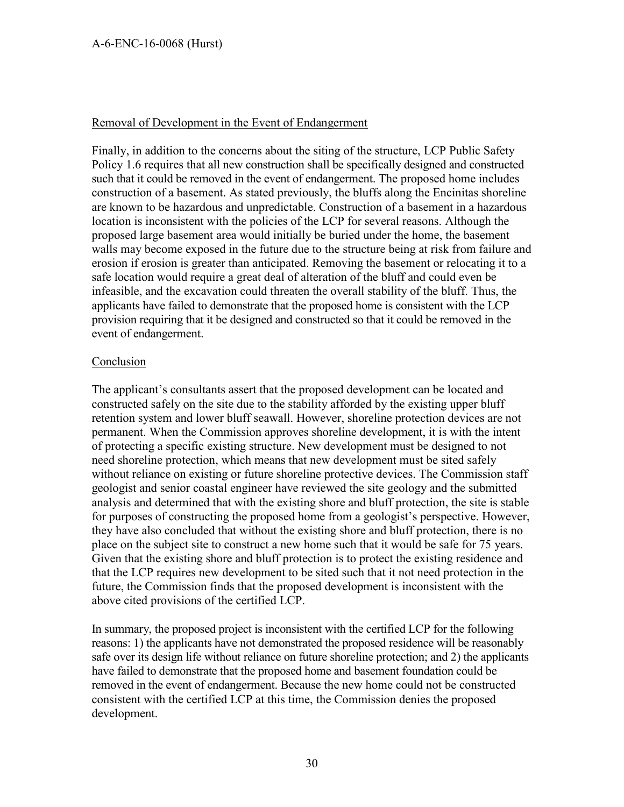#### Removal of Development in the Event of Endangerment

Finally, in addition to the concerns about the siting of the structure, LCP Public Safety Policy 1.6 requires that all new construction shall be specifically designed and constructed such that it could be removed in the event of endangerment. The proposed home includes construction of a basement. As stated previously, the bluffs along the Encinitas shoreline are known to be hazardous and unpredictable. Construction of a basement in a hazardous location is inconsistent with the policies of the LCP for several reasons. Although the proposed large basement area would initially be buried under the home, the basement walls may become exposed in the future due to the structure being at risk from failure and erosion if erosion is greater than anticipated. Removing the basement or relocating it to a safe location would require a great deal of alteration of the bluff and could even be infeasible, and the excavation could threaten the overall stability of the bluff. Thus, the applicants have failed to demonstrate that the proposed home is consistent with the LCP provision requiring that it be designed and constructed so that it could be removed in the event of endangerment.

#### **Conclusion**

The applicant's consultants assert that the proposed development can be located and constructed safely on the site due to the stability afforded by the existing upper bluff retention system and lower bluff seawall. However, shoreline protection devices are not permanent. When the Commission approves shoreline development, it is with the intent of protecting a specific existing structure. New development must be designed to not need shoreline protection, which means that new development must be sited safely without reliance on existing or future shoreline protective devices. The Commission staff geologist and senior coastal engineer have reviewed the site geology and the submitted analysis and determined that with the existing shore and bluff protection, the site is stable for purposes of constructing the proposed home from a geologist's perspective. However, they have also concluded that without the existing shore and bluff protection, there is no place on the subject site to construct a new home such that it would be safe for 75 years. Given that the existing shore and bluff protection is to protect the existing residence and that the LCP requires new development to be sited such that it not need protection in the future, the Commission finds that the proposed development is inconsistent with the above cited provisions of the certified LCP.

In summary, the proposed project is inconsistent with the certified LCP for the following reasons: 1) the applicants have not demonstrated the proposed residence will be reasonably safe over its design life without reliance on future shoreline protection; and 2) the applicants have failed to demonstrate that the proposed home and basement foundation could be removed in the event of endangerment. Because the new home could not be constructed consistent with the certified LCP at this time, the Commission denies the proposed development.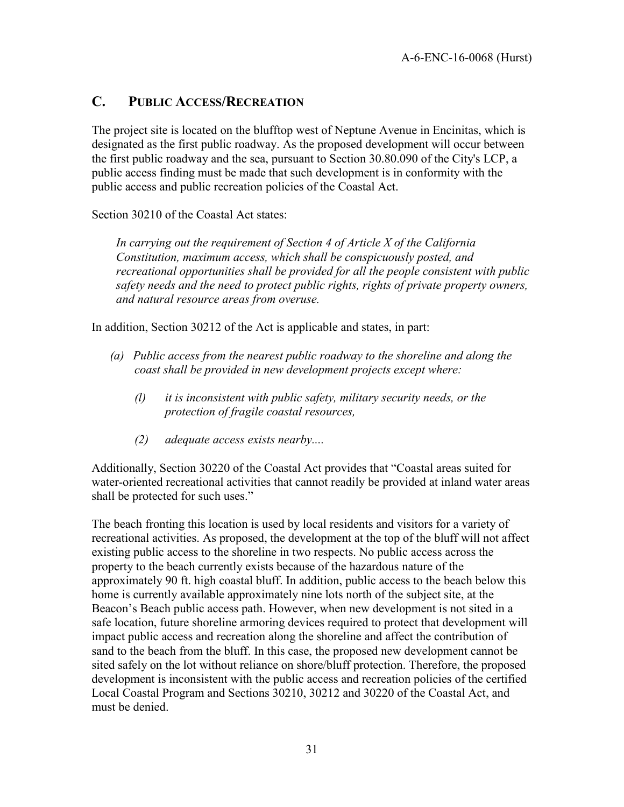### <span id="page-30-0"></span>**C. PUBLIC ACCESS/RECREATION**

The project site is located on the blufftop west of Neptune Avenue in Encinitas, which is designated as the first public roadway. As the proposed development will occur between the first public roadway and the sea, pursuant to Section 30.80.090 of the City's LCP, a public access finding must be made that such development is in conformity with the public access and public recreation policies of the Coastal Act.

Section 30210 of the Coastal Act states:

*In carrying out the requirement of Section 4 of Article X of the California Constitution, maximum access, which shall be conspicuously posted, and recreational opportunities shall be provided for all the people consistent with public safety needs and the need to protect public rights, rights of private property owners, and natural resource areas from overuse.* 

In addition, Section 30212 of the Act is applicable and states, in part:

- *(a) Public access from the nearest public roadway to the shoreline and along the coast shall be provided in new development projects except where:* 
	- *(l) it is inconsistent with public safety, military security needs, or the protection of fragile coastal resources,*
	- *(2) adequate access exists nearby....*

Additionally, Section 30220 of the Coastal Act provides that "Coastal areas suited for water-oriented recreational activities that cannot readily be provided at inland water areas shall be protected for such uses."

The beach fronting this location is used by local residents and visitors for a variety of recreational activities. As proposed, the development at the top of the bluff will not affect existing public access to the shoreline in two respects. No public access across the property to the beach currently exists because of the hazardous nature of the approximately 90 ft. high coastal bluff. In addition, public access to the beach below this home is currently available approximately nine lots north of the subject site, at the Beacon's Beach public access path. However, when new development is not sited in a safe location, future shoreline armoring devices required to protect that development will impact public access and recreation along the shoreline and affect the contribution of sand to the beach from the bluff. In this case, the proposed new development cannot be sited safely on the lot without reliance on shore/bluff protection. Therefore, the proposed development is inconsistent with the public access and recreation policies of the certified Local Coastal Program and Sections 30210, 30212 and 30220 of the Coastal Act, and must be denied.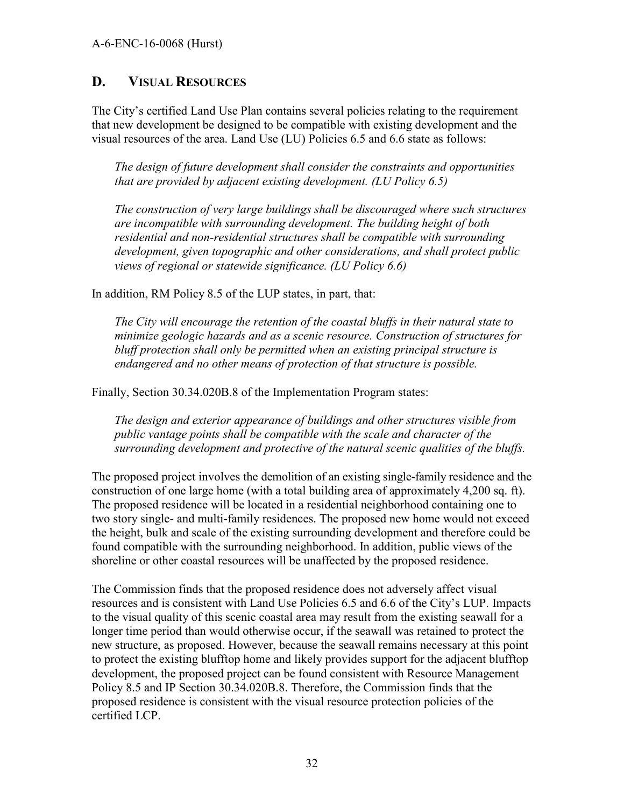### <span id="page-31-0"></span>**D. VISUAL RESOURCES**

The City's certified Land Use Plan contains several policies relating to the requirement that new development be designed to be compatible with existing development and the visual resources of the area. Land Use (LU) Policies 6.5 and 6.6 state as follows:

*The design of future development shall consider the constraints and opportunities that are provided by adjacent existing development. (LU Policy 6.5)* 

*The construction of very large buildings shall be discouraged where such structures are incompatible with surrounding development. The building height of both residential and non-residential structures shall be compatible with surrounding development, given topographic and other considerations, and shall protect public views of regional or statewide significance. (LU Policy 6.6)*

In addition, RM Policy 8.5 of the LUP states, in part, that:

*The City will encourage the retention of the coastal bluffs in their natural state to minimize geologic hazards and as a scenic resource. Construction of structures for bluff protection shall only be permitted when an existing principal structure is endangered and no other means of protection of that structure is possible.* 

Finally, Section 30.34.020B.8 of the Implementation Program states:

*The design and exterior appearance of buildings and other structures visible from public vantage points shall be compatible with the scale and character of the surrounding development and protective of the natural scenic qualities of the bluffs.* 

The proposed project involves the demolition of an existing single-family residence and the construction of one large home (with a total building area of approximately 4,200 sq. ft). The proposed residence will be located in a residential neighborhood containing one to two story single- and multi-family residences. The proposed new home would not exceed the height, bulk and scale of the existing surrounding development and therefore could be found compatible with the surrounding neighborhood. In addition, public views of the shoreline or other coastal resources will be unaffected by the proposed residence.

The Commission finds that the proposed residence does not adversely affect visual resources and is consistent with Land Use Policies 6.5 and 6.6 of the City's LUP. Impacts to the visual quality of this scenic coastal area may result from the existing seawall for a longer time period than would otherwise occur, if the seawall was retained to protect the new structure, as proposed. However, because the seawall remains necessary at this point to protect the existing blufftop home and likely provides support for the adjacent blufftop development, the proposed project can be found consistent with Resource Management Policy 8.5 and IP Section 30.34.020B.8. Therefore, the Commission finds that the proposed residence is consistent with the visual resource protection policies of the certified LCP.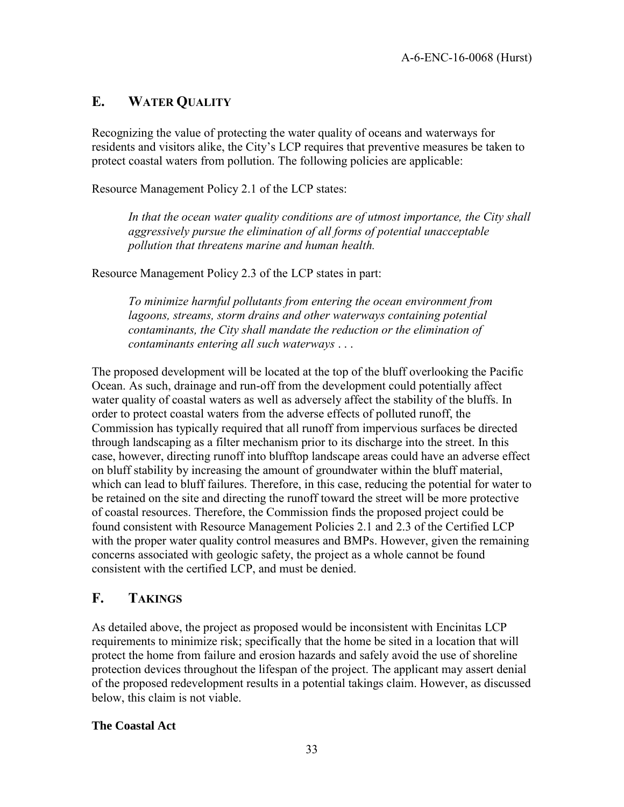## <span id="page-32-0"></span>**E. WATER QUALITY**

Recognizing the value of protecting the water quality of oceans and waterways for residents and visitors alike, the City's LCP requires that preventive measures be taken to protect coastal waters from pollution. The following policies are applicable:

Resource Management Policy 2.1 of the LCP states:

In that the ocean water quality conditions are of utmost importance, the City shall *aggressively pursue the elimination of all forms of potential unacceptable pollution that threatens marine and human health.* 

Resource Management Policy 2.3 of the LCP states in part:

*To minimize harmful pollutants from entering the ocean environment from lagoons, streams, storm drains and other waterways containing potential contaminants, the City shall mandate the reduction or the elimination of contaminants entering all such waterways* . . .

The proposed development will be located at the top of the bluff overlooking the Pacific Ocean. As such, drainage and run-off from the development could potentially affect water quality of coastal waters as well as adversely affect the stability of the bluffs. In order to protect coastal waters from the adverse effects of polluted runoff, the Commission has typically required that all runoff from impervious surfaces be directed through landscaping as a filter mechanism prior to its discharge into the street. In this case, however, directing runoff into blufftop landscape areas could have an adverse effect on bluff stability by increasing the amount of groundwater within the bluff material, which can lead to bluff failures. Therefore, in this case, reducing the potential for water to be retained on the site and directing the runoff toward the street will be more protective of coastal resources. Therefore, the Commission finds the proposed project could be found consistent with Resource Management Policies 2.1 and 2.3 of the Certified LCP with the proper water quality control measures and BMPs. However, given the remaining concerns associated with geologic safety, the project as a whole cannot be found consistent with the certified LCP, and must be denied.

### <span id="page-32-1"></span>**F. TAKINGS**

As detailed above, the project as proposed would be inconsistent with Encinitas LCP requirements to minimize risk; specifically that the home be sited in a location that will protect the home from failure and erosion hazards and safely avoid the use of shoreline protection devices throughout the lifespan of the project. The applicant may assert denial of the proposed redevelopment results in a potential takings claim. However, as discussed below, this claim is not viable.

#### **The Coastal Act**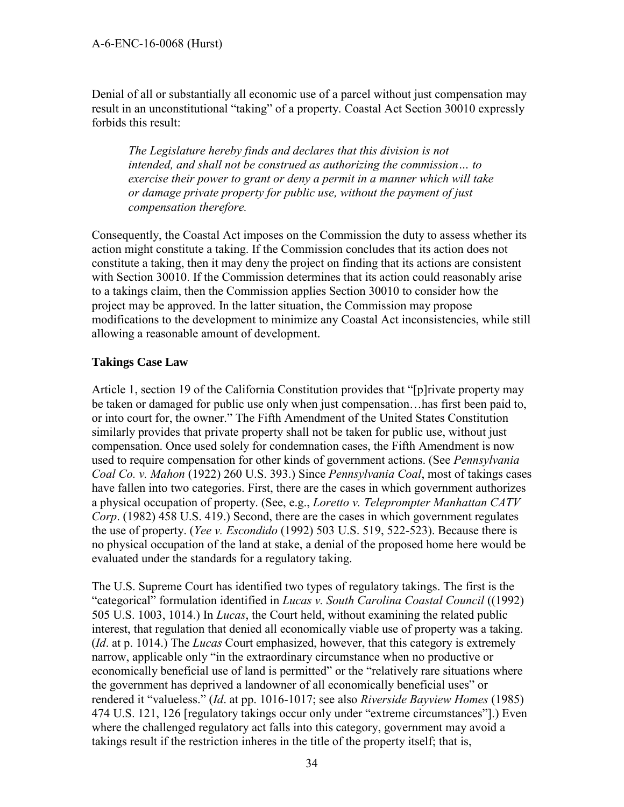Denial of all or substantially all economic use of a parcel without just compensation may result in an unconstitutional "taking" of a property. Coastal Act Section 30010 expressly forbids this result:

*The Legislature hereby finds and declares that this division is not intended, and shall not be construed as authorizing the commission… to exercise their power to grant or deny a permit in a manner which will take or damage private property for public use, without the payment of just compensation therefore.* 

Consequently, the Coastal Act imposes on the Commission the duty to assess whether its action might constitute a taking. If the Commission concludes that its action does not constitute a taking, then it may deny the project on finding that its actions are consistent with Section 30010. If the Commission determines that its action could reasonably arise to a takings claim, then the Commission applies Section 30010 to consider how the project may be approved. In the latter situation, the Commission may propose modifications to the development to minimize any Coastal Act inconsistencies, while still allowing a reasonable amount of development.

### **Takings Case Law**

Article 1, section 19 of the California Constitution provides that "[p]rivate property may be taken or damaged for public use only when just compensation…has first been paid to, or into court for, the owner." The Fifth Amendment of the United States Constitution similarly provides that private property shall not be taken for public use, without just compensation. Once used solely for condemnation cases, the Fifth Amendment is now used to require compensation for other kinds of government actions. (See *Pennsylvania Coal Co. v. Mahon* (1922) 260 U.S. 393.) Since *Pennsylvania Coal*, most of takings cases have fallen into two categories. First, there are the cases in which government authorizes a physical occupation of property. (See, e.g., *Loretto v. Teleprompter Manhattan CATV Corp*. (1982) 458 U.S. 419.) Second, there are the cases in which government regulates the use of property. (*Yee v. Escondido* (1992) 503 U.S. 519, 522-523). Because there is no physical occupation of the land at stake, a denial of the proposed home here would be evaluated under the standards for a regulatory taking.

The U.S. Supreme Court has identified two types of regulatory takings. The first is the "categorical" formulation identified in *Lucas v. South Carolina Coastal Council* ((1992) 505 U.S. 1003, 1014.) In *Lucas*, the Court held, without examining the related public interest, that regulation that denied all economically viable use of property was a taking. (*Id*. at p. 1014.) The *Lucas* Court emphasized, however, that this category is extremely narrow, applicable only "in the extraordinary circumstance when no productive or economically beneficial use of land is permitted" or the "relatively rare situations where the government has deprived a landowner of all economically beneficial uses" or rendered it "valueless." (*Id*. at pp. 1016-1017; see also *Riverside Bayview Homes* (1985) 474 U.S. 121, 126 [regulatory takings occur only under "extreme circumstances"].) Even where the challenged regulatory act falls into this category, government may avoid a takings result if the restriction inheres in the title of the property itself; that is,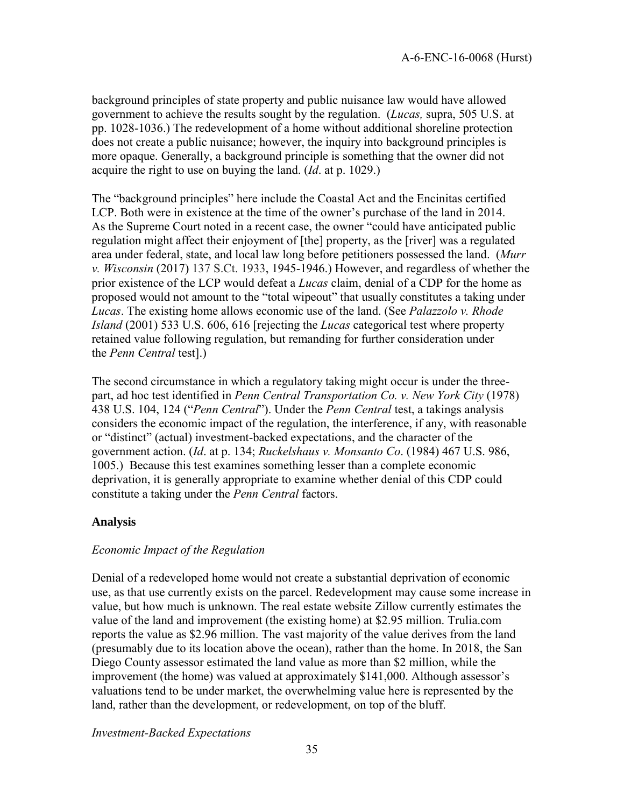background principles of state property and public nuisance law would have allowed government to achieve the results sought by the regulation. (*Lucas,* supra, 505 U.S. at pp. 1028-1036.) The redevelopment of a home without additional shoreline protection does not create a public nuisance; however, the inquiry into background principles is more opaque. Generally, a background principle is something that the owner did not acquire the right to use on buying the land. (*Id*. at p. 1029.)

The "background principles" here include the Coastal Act and the Encinitas certified LCP. Both were in existence at the time of the owner's purchase of the land in 2014. As the Supreme Court noted in a recent case, the owner "could have anticipated public regulation might affect their enjoyment of [the] property, as the [river] was a regulated area under federal, state, and local law long before petitioners possessed the land. (*Murr v. Wisconsin* (2017) 137 S.Ct. 1933, 1945-1946.) However, and regardless of whether the prior existence of the LCP would defeat a *Lucas* claim, denial of a CDP for the home as proposed would not amount to the "total wipeout" that usually constitutes a taking under *Lucas*. The existing home allows economic use of the land. (See *Palazzolo v. Rhode Island* (2001) 533 U.S. 606, 616 [rejecting the *Lucas* categorical test where property retained value following regulation, but remanding for further consideration under the *Penn Central* test].)

The second circumstance in which a regulatory taking might occur is under the threepart, ad hoc test identified in *Penn Central Transportation Co. v. New York City* (1978) 438 U.S. 104, 124 ("*Penn Central*"). Under the *Penn Central* test, a takings analysis considers the economic impact of the regulation, the interference, if any, with reasonable or "distinct" (actual) investment-backed expectations, and the character of the government action. (*Id*. at p. 134; *Ruckelshaus v. Monsanto Co*. (1984) 467 U.S. 986, 1005.) Because this test examines something lesser than a complete economic deprivation, it is generally appropriate to examine whether denial of this CDP could constitute a taking under the *Penn Central* factors.

#### **Analysis**

#### *Economic Impact of the Regulation*

Denial of a redeveloped home would not create a substantial deprivation of economic use, as that use currently exists on the parcel. Redevelopment may cause some increase in value, but how much is unknown. The real estate website Zillow currently estimates the value of the land and improvement (the existing home) at \$2.95 million. Trulia.com reports the value as \$2.96 million. The vast majority of the value derives from the land (presumably due to its location above the ocean), rather than the home. In 2018, the San Diego County assessor estimated the land value as more than \$2 million, while the improvement (the home) was valued at approximately \$141,000. Although assessor's valuations tend to be under market, the overwhelming value here is represented by the land, rather than the development, or redevelopment, on top of the bluff.

*Investment-Backed Expectations*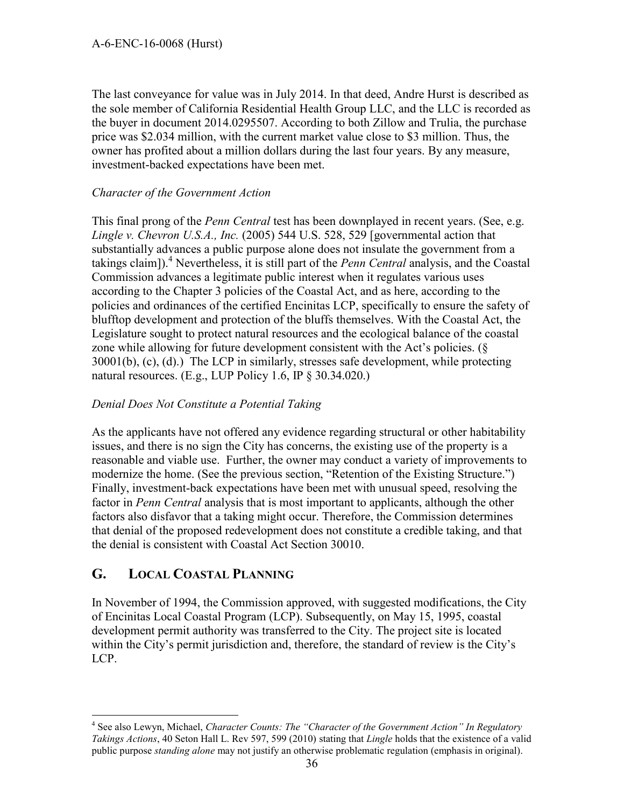The last conveyance for value was in July 2014. In that deed, Andre Hurst is described as the sole member of California Residential Health Group LLC, and the LLC is recorded as the buyer in document 2014.0295507. According to both Zillow and Trulia, the purchase price was \$2.034 million, with the current market value close to \$3 million. Thus, the owner has profited about a million dollars during the last four years. By any measure, investment-backed expectations have been met.

### *Character of the Government Action*

This final prong of the *Penn Central* test has been downplayed in recent years. (See, e.g. *Lingle v. Chevron U.S.A., Inc.* (2005) 544 U.S. 528, 529 [governmental action that substantially advances a public purpose alone does not insulate the government from a takings claim]).<sup>4</sup> Nevertheless, it is still part of the *Penn Central* analysis, and the Coastal Commission advances a legitimate public interest when it regulates various uses according to the Chapter 3 policies of the Coastal Act, and as here, according to the policies and ordinances of the certified Encinitas LCP, specifically to ensure the safety of blufftop development and protection of the bluffs themselves. With the Coastal Act, the Legislature sought to protect natural resources and the ecological balance of the coastal zone while allowing for future development consistent with the Act's policies. (§ 30001(b), (c), (d).) The LCP in similarly, stresses safe development, while protecting natural resources. (E.g., LUP Policy 1.6, IP  $\S$  30.34.020.)

### *Denial Does Not Constitute a Potential Taking*

As the applicants have not offered any evidence regarding structural or other habitability issues, and there is no sign the City has concerns, the existing use of the property is a reasonable and viable use. Further, the owner may conduct a variety of improvements to modernize the home. (See the previous section, "Retention of the Existing Structure.") Finally, investment-back expectations have been met with unusual speed, resolving the factor in *Penn Central* analysis that is most important to applicants, although the other factors also disfavor that a taking might occur. Therefore, the Commission determines that denial of the proposed redevelopment does not constitute a credible taking, and that the denial is consistent with Coastal Act Section 30010.

### <span id="page-35-0"></span>**G. LOCAL COASTAL PLANNING**

 $\overline{a}$ 

In November of 1994, the Commission approved, with suggested modifications, the City of Encinitas Local Coastal Program (LCP). Subsequently, on May 15, 1995, coastal development permit authority was transferred to the City. The project site is located within the City's permit jurisdiction and, therefore, the standard of review is the City's LCP.

<sup>4</sup> See also Lewyn, Michael, *Character Counts: The "Character of the Government Action" In Regulatory Takings Actions*, 40 Seton Hall L. Rev 597, 599 (2010) stating that *Lingle* holds that the existence of a valid public purpose *standing alone* may not justify an otherwise problematic regulation (emphasis in original).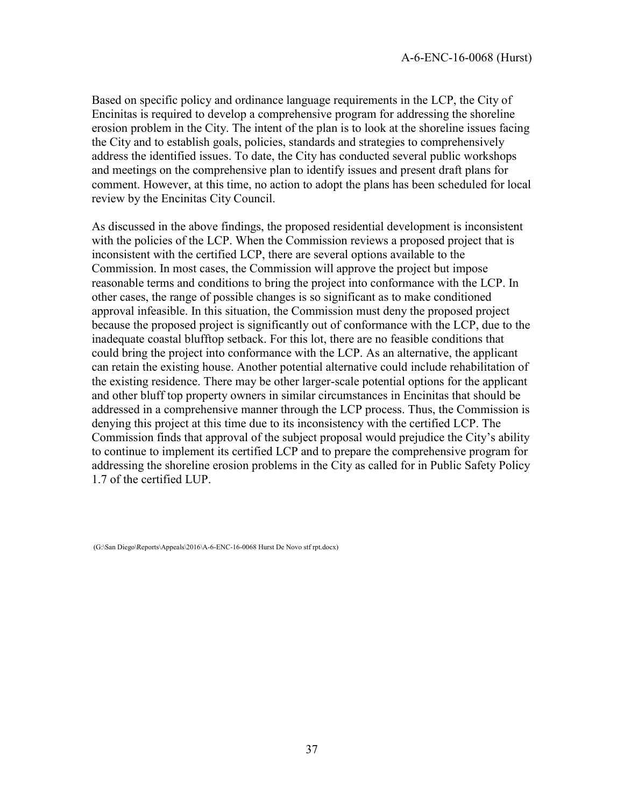Based on specific policy and ordinance language requirements in the LCP, the City of Encinitas is required to develop a comprehensive program for addressing the shoreline erosion problem in the City. The intent of the plan is to look at the shoreline issues facing the City and to establish goals, policies, standards and strategies to comprehensively address the identified issues. To date, the City has conducted several public workshops and meetings on the comprehensive plan to identify issues and present draft plans for comment. However, at this time, no action to adopt the plans has been scheduled for local review by the Encinitas City Council.

As discussed in the above findings, the proposed residential development is inconsistent with the policies of the LCP. When the Commission reviews a proposed project that is inconsistent with the certified LCP, there are several options available to the Commission. In most cases, the Commission will approve the project but impose reasonable terms and conditions to bring the project into conformance with the LCP. In other cases, the range of possible changes is so significant as to make conditioned approval infeasible. In this situation, the Commission must deny the proposed project because the proposed project is significantly out of conformance with the LCP, due to the inadequate coastal blufftop setback. For this lot, there are no feasible conditions that could bring the project into conformance with the LCP. As an alternative, the applicant can retain the existing house. Another potential alternative could include rehabilitation of the existing residence. There may be other larger-scale potential options for the applicant and other bluff top property owners in similar circumstances in Encinitas that should be addressed in a comprehensive manner through the LCP process. Thus, the Commission is denying this project at this time due to its inconsistency with the certified LCP. The Commission finds that approval of the subject proposal would prejudice the City's ability to continue to implement its certified LCP and to prepare the comprehensive program for addressing the shoreline erosion problems in the City as called for in Public Safety Policy 1.7 of the certified LUP.

<span id="page-36-0"></span> <sup>(</sup>G:\San Diego\Reports\Appeals\2016\A-6-ENC-16-0068 Hurst De Novo stf rpt.docx)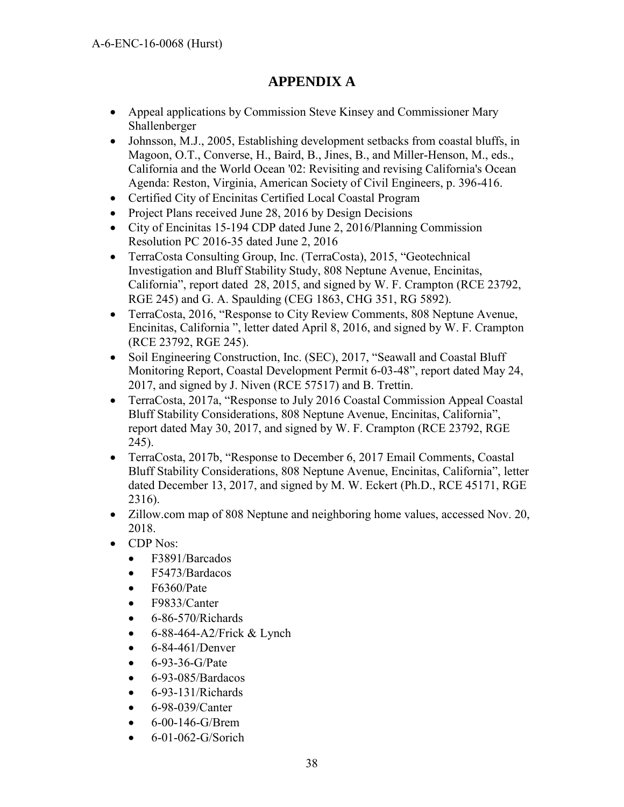## **APPENDIX A**

- Appeal applications by Commission Steve Kinsey and Commissioner Mary Shallenberger
- Johnsson, M.J., 2005, Establishing development setbacks from coastal bluffs, in Magoon, O.T., Converse, H., Baird, B., Jines, B., and Miller-Henson, M., eds., California and the World Ocean '02: Revisiting and revising California's Ocean Agenda: Reston, Virginia, American Society of Civil Engineers, p. 396-416.
- Certified City of Encinitas Certified Local Coastal Program
- Project Plans received June 28, 2016 by Design Decisions
- City of Encinitas 15-194 CDP dated June 2, 2016/Planning Commission Resolution PC 2016-35 dated June 2, 2016
- TerraCosta Consulting Group, Inc. (TerraCosta), 2015, "Geotechnical Investigation and Bluff Stability Study, 808 Neptune Avenue, Encinitas, California", report dated 28, 2015, and signed by W. F. Crampton (RCE 23792, RGE 245) and G. A. Spaulding (CEG 1863, CHG 351, RG 5892).
- TerraCosta, 2016, "Response to City Review Comments, 808 Neptune Avenue, Encinitas, California ", letter dated April 8, 2016, and signed by W. F. Crampton (RCE 23792, RGE 245).
- Soil Engineering Construction, Inc. (SEC), 2017, "Seawall and Coastal Bluff Monitoring Report, Coastal Development Permit 6-03-48", report dated May 24, 2017, and signed by J. Niven (RCE 57517) and B. Trettin.
- TerraCosta, 2017a, "Response to July 2016 Coastal Commission Appeal Coastal Bluff Stability Considerations, 808 Neptune Avenue, Encinitas, California", report dated May 30, 2017, and signed by W. F. Crampton (RCE 23792, RGE 245).
- TerraCosta, 2017b, "Response to December 6, 2017 Email Comments, Coastal Bluff Stability Considerations, 808 Neptune Avenue, Encinitas, California", letter dated December 13, 2017, and signed by M. W. Eckert (Ph.D., RCE 45171, RGE 2316).
- Zillow.com map of 808 Neptune and neighboring home values, accessed Nov. 20, 2018.
- CDP Nos:
	- F3891/Barcados
	- F5473/Bardacos
	- F6360/Pate
	- F9833/Canter
	- $-6 86 570$ /Richards
	- $6-88-464-A2/Frick & Lynch$
	- 6-84-461/Denver
	- $-6 93 36 G/Pate$
	- $\bullet$  6-93-085/Bardacos
	- $\bullet$  6-93-131/Richards
	- 6-98-039/Canter
	- 6-00-146-G/Brem
	- 6-01-062-G/Sorich